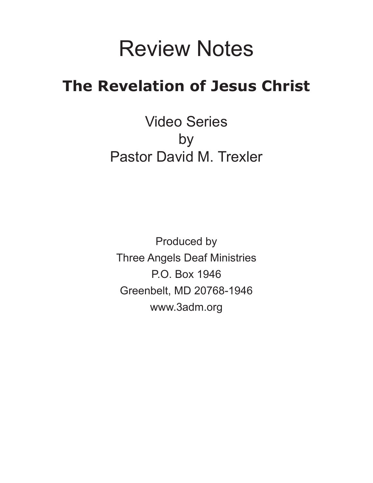# Review Notes

## **The Revelation of Jesus Christ**

Video Series by Pastor David M. Trexler

Produced by Three Angels Deaf Ministries P.O. Box 1946 Greenbelt, MD 20768-1946 www.3adm.org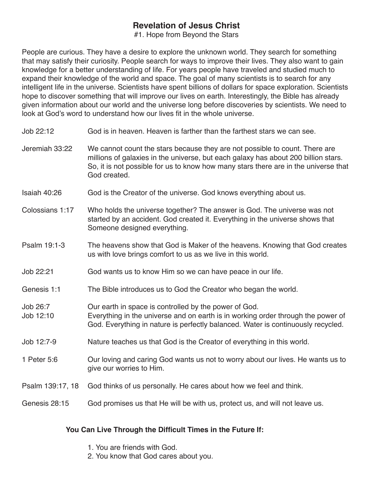#1. Hope from Beyond the Stars

People are curious. They have a desire to explore the unknown world. They search for something that may satisfy their curiosity. People search for ways to improve their lives. They also want to gain knowledge for a better understanding of life. For years people have traveled and studied much to expand their knowledge of the world and space. The goal of many scientists is to search for any intelligent life in the universe. Scientists have spent billions of dollars for space exploration. Scientists hope to discover something that will improve our lives on earth. Interestingly, the Bible has already given information about our world and the universe long before discoveries by scientists. We need to look at God's word to understand how our lives fit in the whole universe.

- Job 22:12 God is in heaven. Heaven is farther than the farthest stars we can see.
- Jeremiah 33:22 We cannot count the stars because they are not possible to count. There are millions of galaxies in the universe, but each galaxy has about 200 billion stars. So, it is not possible for us to know how many stars there are in the universe that God created.
- Isaiah 40:26 God is the Creator of the universe. God knows everything about us.
- Colossians 1:17 Who holds the universe together? The answer is God. The universe was not started by an accident. God created it. Everything in the universe shows that Someone designed everything.
- Psalm 19:1-3 The heavens show that God is Maker of the heavens. Knowing that God creates us with love brings comfort to us as we live in this world.
- Job 22:21 God wants us to know Him so we can have peace in our life.
- Genesis 1:1 The Bible introduces us to God the Creator who began the world.
- Job 26:7 Our earth in space is controlled by the power of God.
- Job 12:10 Everything in the universe and on earth is in working order through the power of God. Everything in nature is perfectly balanced. Water is continuously recycled.
- Job 12:7-9 Nature teaches us that God is the Creator of everything in this world.
- 1 Peter 5:6 Our loving and caring God wants us not to worry about our lives. He wants us to give our worries to Him.
- Psalm 139:17, 18 God thinks of us personally. He cares about how we feel and think.
- Genesis 28:15 God promises us that He will be with us, protect us, and will not leave us.

#### **You Can Live Through the Difficult Times in the Future If:**

- 1. You are friends with God.
- 2. You know that God cares about you.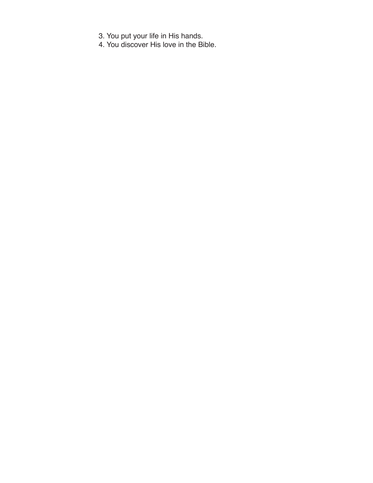- 3. You put your life in His hands.
- 4. You discover His love in the Bible.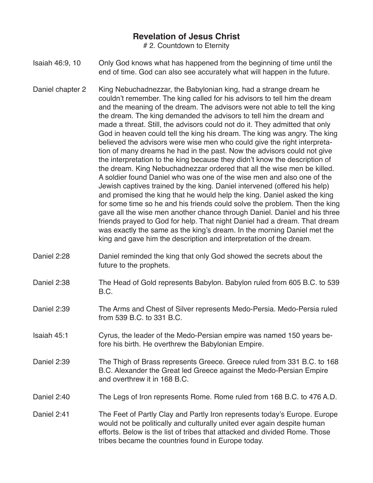# 2. Countdown to Eternity

- Isaiah 46:9, 10 Only God knows what has happened from the beginning of time until the end of time. God can also see accurately what will happen in the future.
- Daniel chapter 2 King Nebuchadnezzar, the Babylonian king, had a strange dream he couldn't remember. The king called for his advisors to tell him the dream and the meaning of the dream. The advisors were not able to tell the king the dream. The king demanded the advisors to tell him the dream and made a threat. Still, the advisors could not do it. They admitted that only God in heaven could tell the king his dream. The king was angry. The king believed the advisors were wise men who could give the right interpretation of many dreams he had in the past. Now the advisors could not give the interpretation to the king because they didn't know the description of the dream. King Nebuchadnezzar ordered that all the wise men be killed. A soldier found Daniel who was one of the wise men and also one of the Jewish captives trained by the king. Daniel intervened (offered his help) and promised the king that he would help the king. Daniel asked the king for some time so he and his friends could solve the problem. Then the king gave all the wise men another chance through Daniel. Daniel and his three friends prayed to God for help. That night Daniel had a dream. That dream was exactly the same as the king's dream. In the morning Daniel met the king and gave him the description and interpretation of the dream.
- Daniel 2:28 Daniel reminded the king that only God showed the secrets about the future to the prophets.
- Daniel 2:38 The Head of Gold represents Babylon. Babylon ruled from 605 B.C. to 539 B.C.
- Daniel 2:39 The Arms and Chest of Silver represents Medo-Persia. Medo-Persia ruled from 539 B.C. to 331 B.C.
- Isaiah 45:1 Cyrus, the leader of the Medo-Persian empire was named 150 years before his birth. He overthrew the Babylonian Empire.
- Daniel 2:39 The Thigh of Brass represents Greece. Greece ruled from 331 B.C. to 168 B.C. Alexander the Great led Greece against the Medo-Persian Empire and overthrew it in 168 B.C.
- Daniel 2:40 The Legs of Iron represents Rome. Rome ruled from 168 B.C. to 476 A.D.
- Daniel 2:41 The Feet of Partly Clay and Partly Iron represents today's Europe. Europe would not be politically and culturally united ever again despite human efforts. Below is the list of tribes that attacked and divided Rome. Those tribes became the countries found in Europe today.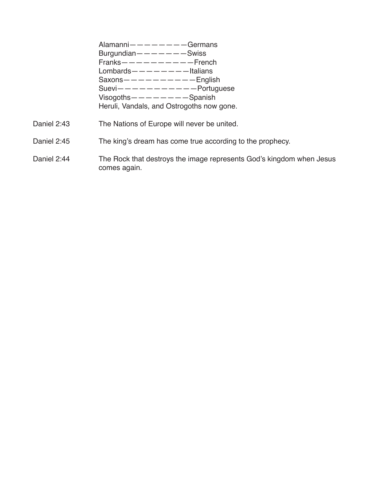Alamanni————————Germans Burgundian— $---$ ——Swiss Franks——————————French Lombards— $---$ —————Italians  $Saxons$   $-- -- -- English$ Suevi———————————Portuguese Visogoths————————Spanish Heruli, Vandals, and Ostrogoths now gone.

- Daniel 2:43 The Nations of Europe will never be united.
- Daniel 2:45 The king's dream has come true according to the prophecy.
- Daniel 2:44 The Rock that destroys the image represents God's kingdom when Jesus comes again.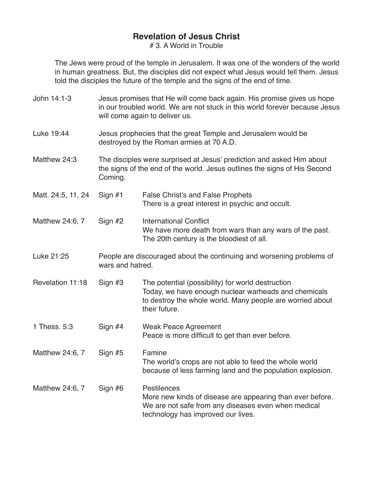# 3. A World in Trouble

The Jews were proud of the temple in Jerusalem. It was one of the wonders of the world in human greatness. But, the disciples did not expect what Jesus would tell them. Jesus told the disciples the future of the temple and the signs of the end of time.

- John 14:1-3 Jesus promises that He will come back again. His promise gives us hope in our troubled world. We are not stuck in this world forever because Jesus will come again to deliver us.
- Luke 19:44 Jesus prophecies that the great Temple and Jerusalem would be destroyed by the Roman armies at 70 A.D.
- Matthew 24:3 The disciples were surprised at Jesus' prediction and asked Him about the signs of the end of the world. Jesus outlines the signs of His Second Coming.
- Matt. 24:5, 11, 24 Sign #1 False Christ's and False Prophets There is a great interest in psychic and occult.
- Matthew 24:6, 7 Sign #2 International Conflict We have more death from wars than any wars of the past. The 20th century is the bloodiest of all.
- Luke 21:25 People are discouraged about the continuing and worsening problems of wars and hatred.
- Revelation 11:18 Sign #3 The potential (possibility) for world destruction Today, we have enough nuclear warheads and chemicals to destroy the whole world. Many people are worried about their future.
- 1 Thess. 5:3 Sign #4 Weak Peace Agreement Peace is more difficult to get than ever before.
- Matthew 24:6, 7 Sign #5 Famine The world's crops are not able to feed the whole world because of less farming land and the population explosion.
- Matthew 24:6, 7 Sign #6 Pestilences More new kinds of disease are appearing than ever before. We are not safe from any diseases even when medical technology has improved our lives.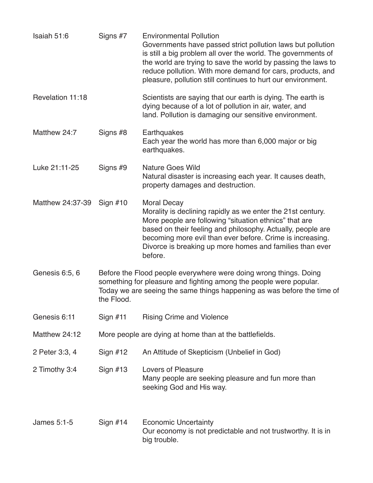| Isaiah 51:6      | Signs #7   | <b>Environmental Pollution</b><br>Governments have passed strict pollution laws but pollution<br>is still a big problem all over the world. The governments of<br>the world are trying to save the world by passing the laws to<br>reduce pollution. With more demand for cars, products, and<br>pleasure, pollution still continues to hurt our environment. |
|------------------|------------|---------------------------------------------------------------------------------------------------------------------------------------------------------------------------------------------------------------------------------------------------------------------------------------------------------------------------------------------------------------|
| Revelation 11:18 |            | Scientists are saying that our earth is dying. The earth is<br>dying because of a lot of pollution in air, water, and<br>land. Pollution is damaging our sensitive environment.                                                                                                                                                                               |
| Matthew 24:7     | Signs #8   | Earthquakes<br>Each year the world has more than 6,000 major or big<br>earthquakes.                                                                                                                                                                                                                                                                           |
| Luke 21:11-25    | Signs #9   | <b>Nature Goes Wild</b><br>Natural disaster is increasing each year. It causes death,<br>property damages and destruction.                                                                                                                                                                                                                                    |
| Matthew 24:37-39 | Sign $#10$ | <b>Moral Decay</b><br>Morality is declining rapidly as we enter the 21st century.<br>More people are following "situation ethnics" that are<br>based on their feeling and philosophy. Actually, people are<br>becoming more evil than ever before. Crime is increasing.<br>Divorce is breaking up more homes and families than ever<br>before.                |
| Genesis 6:5, 6   | the Flood. | Before the Flood people everywhere were doing wrong things. Doing<br>something for pleasure and fighting among the people were popular.<br>Today we are seeing the same things happening as was before the time of                                                                                                                                            |
| Genesis 6:11     | Sign $#11$ | <b>Rising Crime and Violence</b>                                                                                                                                                                                                                                                                                                                              |
| Matthew 24:12    |            | More people are dying at home than at the battlefields.                                                                                                                                                                                                                                                                                                       |
| 2 Peter 3:3, 4   | Sign $#12$ | An Attitude of Skepticism (Unbelief in God)                                                                                                                                                                                                                                                                                                                   |
| 2 Timothy 3:4    | Sign $#13$ | <b>Lovers of Pleasure</b><br>Many people are seeking pleasure and fun more than<br>seeking God and His way.                                                                                                                                                                                                                                                   |
| James 5:1-5      | Sign $#14$ | <b>Economic Uncertainty</b><br>Our economy is not predictable and not trustworthy. It is in<br>big trouble.                                                                                                                                                                                                                                                   |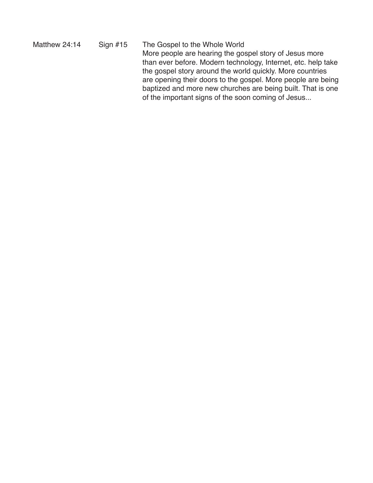Matthew 24:14 Sign #15 The Gospel to the Whole World More people are hearing the gospel story of Jesus more than ever before. Modern technology, Internet, etc. help take the gospel story around the world quickly. More countries are opening their doors to the gospel. More people are being baptized and more new churches are being built. That is one of the important signs of the soon coming of Jesus...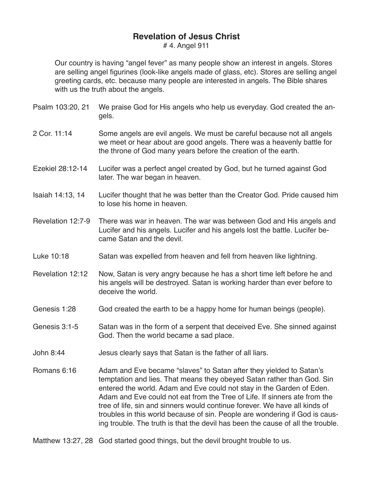# 4. Angel 911

Our country is having "angel fever" as many people show an interest in angels. Stores are selling angel figurines (look-like angels made of glass, etc). Stores are selling angel greeting cards, etc. because many people are interested in angels. The Bible shares with us the truth about the angels.

- Psalm 103:20, 21 We praise God for His angels who help us everyday. God created the angels.
- 2 Cor. 11:14 Some angels are evil angels. We must be careful because not all angels we meet or hear about are good angels. There was a heavenly battle for the throne of God many years before the creation of the earth.
- Ezekiel 28:12-14 Lucifer was a perfect angel created by God, but he turned against God later. The war began in heaven.
- Isaiah 14:13, 14 Lucifer thought that he was better than the Creator God. Pride caused him to lose his home in heaven.
- Revelation 12:7-9 There was war in heaven. The war was between God and His angels and Lucifer and his angels. Lucifer and his angels lost the battle. Lucifer became Satan and the devil.
- Luke 10:18 Satan was expelled from heaven and fell from heaven like lightning.
- Revelation 12:12 Now, Satan is very angry because he has a short time left before he and his angels will be destroyed. Satan is working harder than ever before to deceive the world.
- Genesis 1:28 God created the earth to be a happy home for human beings (people).
- Genesis 3:1-5 Satan was in the form of a serpent that deceived Eve. She sinned against God. Then the world became a sad place.
- John 8:44 Jesus clearly says that Satan is the father of all liars.
- Romans 6:16 Adam and Eve became "slaves" to Satan after they yielded to Satan's temptation and lies. That means they obeyed Satan rather than God. Sin entered the world. Adam and Eve could not stay in the Garden of Eden. Adam and Eve could not eat from the Tree of Life. If sinners ate from the tree of life, sin and sinners would continue forever. We have all kinds of troubles in this world because of sin. People are wondering if God is causing trouble. The truth is that the devil has been the cause of all the trouble.
- Matthew 13:27, 28 God started good things, but the devil brought trouble to us.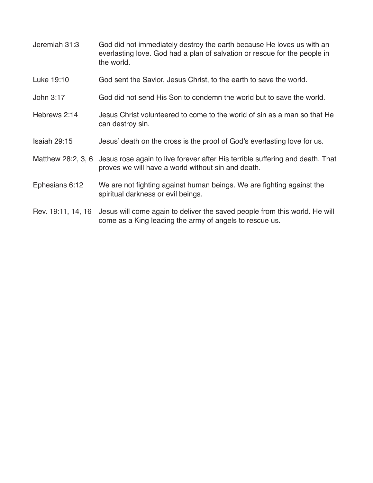- Jeremiah 31:3 God did not immediately destroy the earth because He loves us with an everlasting love. God had a plan of salvation or rescue for the people in the world.
- Luke 19:10 God sent the Savior, Jesus Christ, to the earth to save the world.
- John 3:17 God did not send His Son to condemn the world but to save the world.
- Hebrews 2:14 Jesus Christ volunteered to come to the world of sin as a man so that He can destroy sin.
- Isaiah 29:15 Jesus' death on the cross is the proof of God's everlasting love for us.
- Matthew 28:2, 3, 6 Jesus rose again to live forever after His terrible suffering and death. That proves we will have a world without sin and death.
- Ephesians 6:12 We are not fighting against human beings. We are fighting against the spiritual darkness or evil beings.
- Rev. 19:11, 14, 16 Jesus will come again to deliver the saved people from this world. He will come as a King leading the army of angels to rescue us.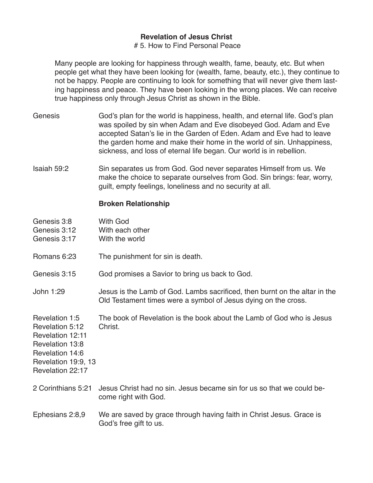#### # 5. How to Find Personal Peace

Many people are looking for happiness through wealth, fame, beauty, etc. But when people get what they have been looking for (wealth, fame, beauty, etc.), they continue to not be happy. People are continuing to look for something that will never give them lasting happiness and peace. They have been looking in the wrong places. We can receive true happiness only through Jesus Christ as shown in the Bible.

- Genesis God's plan for the world is happiness, health, and eternal life. God's plan was spoiled by sin when Adam and Eve disobeyed God. Adam and Eve accepted Satan's lie in the Garden of Eden. Adam and Eve had to leave the garden home and make their home in the world of sin. Unhappiness, sickness, and loss of eternal life began. Our world is in rebellion.
- Isaiah 59:2 Sin separates us from God. God never separates Himself from us. We make the choice to separate ourselves from God. Sin brings: fear, worry, guilt, empty feelings, loneliness and no security at all.

### **Broken Relationship**

| Genesis 3:8<br>Genesis 3:12<br>Genesis 3:17                                                                                            | <b>With God</b><br>With each other<br>With the world                                                                                         |
|----------------------------------------------------------------------------------------------------------------------------------------|----------------------------------------------------------------------------------------------------------------------------------------------|
| Romans 6:23                                                                                                                            | The punishment for sin is death.                                                                                                             |
| Genesis 3:15                                                                                                                           | God promises a Savior to bring us back to God.                                                                                               |
| John 1:29                                                                                                                              | Jesus is the Lamb of God. Lambs sacrificed, then burnt on the altar in the<br>Old Testament times were a symbol of Jesus dying on the cross. |
| Revelation 1:5<br>Revelation 5:12<br>Revelation 12:11<br>Revelation 13:8<br>Revelation 14:6<br>Revelation 19:9, 13<br>Revelation 22:17 | The book of Revelation is the book about the Lamb of God who is Jesus<br>Christ.                                                             |
| 2 Corinthians 5:21                                                                                                                     | Jesus Christ had no sin. Jesus became sin for us so that we could be-<br>come right with God.                                                |
| Ephesians 2:8,9                                                                                                                        | We are saved by grace through having faith in Christ Jesus. Grace is<br>God's free gift to us.                                               |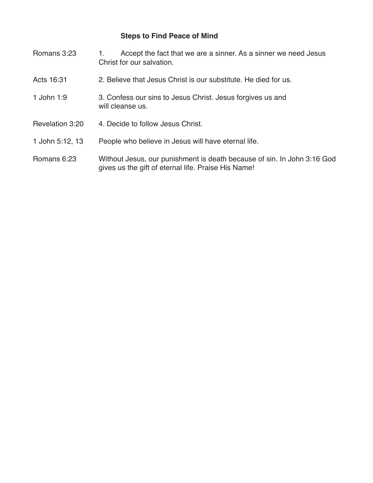## **Steps to Find Peace of Mind**

| Romans 3:23     | Accept the fact that we are a sinner. As a sinner we need Jesus<br>1.<br>Christ for our salvation.                             |
|-----------------|--------------------------------------------------------------------------------------------------------------------------------|
| Acts 16:31      | 2. Believe that Jesus Christ is our substitute. He died for us.                                                                |
| 1 John 1:9      | 3. Confess our sins to Jesus Christ. Jesus forgives us and<br>will cleanse us.                                                 |
| Revelation 3:20 | 4. Decide to follow Jesus Christ.                                                                                              |
| 1 John 5:12, 13 | People who believe in Jesus will have eternal life.                                                                            |
| Romans 6:23     | Without Jesus, our punishment is death because of sin. In John 3:16 God<br>gives us the gift of eternal life. Praise His Name! |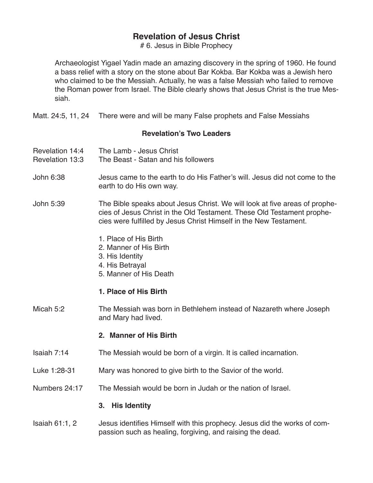# 6. Jesus in Bible Prophecy

Archaeologist Yigael Yadin made an amazing discovery in the spring of 1960. He found a bass relief with a story on the stone about Bar Kokba. Bar Kokba was a Jewish hero who claimed to be the Messiah. Actually, he was a false Messiah who failed to remove the Roman power from Israel. The Bible clearly shows that Jesus Christ is the true Messiah.

Matt. 24:5, 11, 24 There were and will be many False prophets and False Messiahs

### **Revelation's Two Leaders**

- Revelation 14:4 The Lamb Jesus Christ
- Revelation 13:3 The Beast Satan and his followers
- John 6:38 Jesus came to the earth to do His Father's will. Jesus did not come to the earth to do His own way.
- John 5:39 The Bible speaks about Jesus Christ. We will look at five areas of prophecies of Jesus Christ in the Old Testament. These Old Testament prophecies were fulfilled by Jesus Christ Himself in the New Testament.
	- 1. Place of His Birth
	- 2. Manner of His Birth
	- 3. His Identity
	- 4. His Betrayal
	- 5. Manner of His Death

## **1. Place of His Birth**

Micah 5:2 The Messiah was born in Bethlehem instead of Nazareth where Joseph and Mary had lived.

#### **2. Manner of His Birth**

- Isaiah 7:14 The Messiah would be born of a virgin. It is called incarnation.
- Luke 1:28-31 Mary was honored to give birth to the Savior of the world.
- Numbers 24:17 The Messiah would be born in Judah or the nation of Israel.

#### **3. His Identity**

Isaiah 61:1, 2 Jesus identifies Himself with this prophecy. Jesus did the works of compassion such as healing, forgiving, and raising the dead.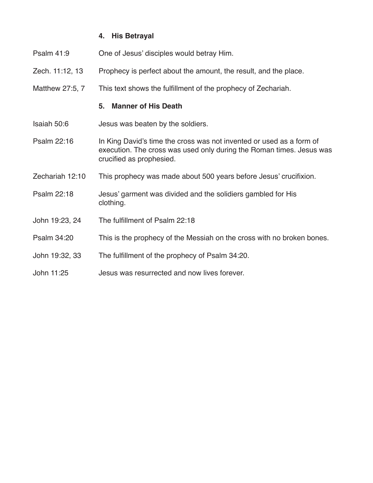## **4. His Betrayal**

- Psalm 41:9 One of Jesus' disciples would betray Him.
- Zech. 11:12, 13 Prophecy is perfect about the amount, the result, and the place.
- Matthew 27:5, 7 This text shows the fulfillment of the prophecy of Zechariah.

#### **5. Manner of His Death**

- Isaiah 50:6 Jesus was beaten by the soldiers.
- Psalm 22:16 In King David's time the cross was not invented or used as a form of execution. The cross was used only during the Roman times. Jesus was crucified as prophesied.
- Zechariah 12:10 This prophecy was made about 500 years before Jesus' crucifixion.
- Psalm 22:18 Jesus' garment was divided and the solidiers gambled for His clothing.
- John 19:23, 24 The fulfillment of Psalm 22:18
- Psalm 34:20 This is the prophecy of the Messiah on the cross with no broken bones.
- John 19:32, 33 The fulfillment of the prophecy of Psalm 34:20.
- John 11:25 Jesus was resurrected and now lives forever.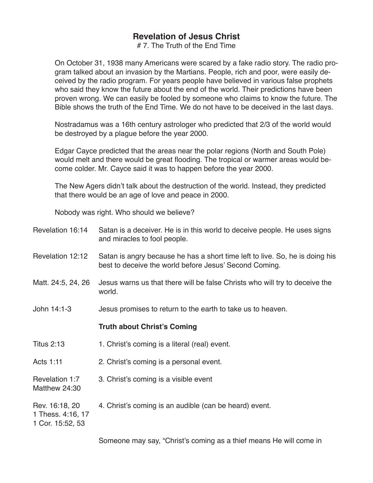# 7. The Truth of the End Time

On October 31, 1938 many Americans were scared by a fake radio story. The radio program talked about an invasion by the Martians. People, rich and poor, were easily deceived by the radio program. For years people have believed in various false prophets who said they know the future about the end of the world. Their predictions have been proven wrong. We can easily be fooled by someone who claims to know the future. The Bible shows the truth of the End Time. We do not have to be deceived in the last days.

Nostradamus was a 16th century astrologer who predicted that 2/3 of the world would be destroyed by a plague before the year 2000.

Edgar Cayce predicted that the areas near the polar regions (North and South Pole) would melt and there would be great flooding. The tropical or warmer areas would become colder. Mr. Cayce said it was to happen before the year 2000.

The New Agers didn't talk about the destruction of the world. Instead, they predicted that there would be an age of love and peace in 2000.

Nobody was right. Who should we believe?

| Revelation 16:14                                        | Satan is a deceiver. He is in this world to deceive people. He uses signs<br>and miracles to fool people.                              |
|---------------------------------------------------------|----------------------------------------------------------------------------------------------------------------------------------------|
| Revelation 12:12                                        | Satan is angry because he has a short time left to live. So, he is doing his<br>best to deceive the world before Jesus' Second Coming. |
| Matt. 24:5, 24, 26                                      | Jesus warns us that there will be false Christs who will try to deceive the<br>world.                                                  |
| John 14:1-3                                             | Jesus promises to return to the earth to take us to heaven.                                                                            |
|                                                         | <b>Truth about Christ's Coming</b>                                                                                                     |
| <b>Titus 2:13</b>                                       | 1. Christ's coming is a literal (real) event.                                                                                          |
| Acts 1:11                                               | 2. Christ's coming is a personal event.                                                                                                |
| Revelation 1:7<br>Matthew 24:30                         | 3. Christ's coming is a visible event                                                                                                  |
| Rev. 16:18, 20<br>1 Thess. 4:16, 17<br>1 Cor. 15:52, 53 | 4. Christ's coming is an audible (can be heard) event.                                                                                 |
|                                                         | Someone may say, "Christ's coming as a thief means He will come in                                                                     |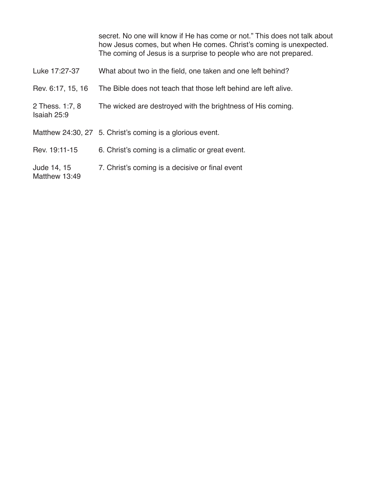|                                | secret. No one will know if He has come or not." This does not talk about<br>how Jesus comes, but when He comes. Christ's coming is unexpected.<br>The coming of Jesus is a surprise to people who are not prepared. |
|--------------------------------|----------------------------------------------------------------------------------------------------------------------------------------------------------------------------------------------------------------------|
| Luke 17:27-37                  | What about two in the field, one taken and one left behind?                                                                                                                                                          |
| Rev. 6:17, 15, 16              | The Bible does not teach that those left behind are left alive.                                                                                                                                                      |
| 2 Thess. 1:7, 8<br>Isaiah 25:9 | The wicked are destroyed with the brightness of His coming.                                                                                                                                                          |
|                                | Matthew 24:30, 27 5. Christ's coming is a glorious event.                                                                                                                                                            |
| Rev. 19:11-15                  | 6. Christ's coming is a climatic or great event.                                                                                                                                                                     |
| Jude 14, 15<br>Matthew 13:49   | 7. Christ's coming is a decisive or final event                                                                                                                                                                      |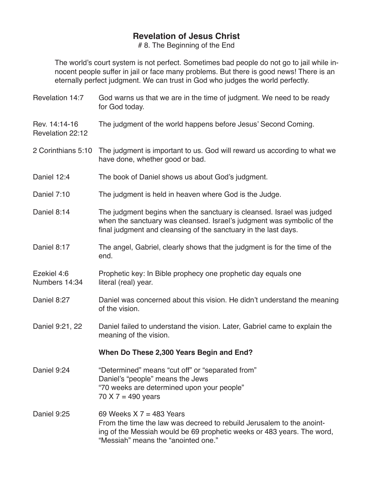# 8. The Beginning of the End

The world's court system is not perfect. Sometimes bad people do not go to jail while innocent people suffer in jail or face many problems. But there is good news! There is an eternally perfect judgment. We can trust in God who judges the world perfectly.

| Revelation 14:7                   | God warns us that we are in the time of judgment. We need to be ready<br>for God today.                                                                                                                              |
|-----------------------------------|----------------------------------------------------------------------------------------------------------------------------------------------------------------------------------------------------------------------|
| Rev. 14:14-16<br>Revelation 22:12 | The judgment of the world happens before Jesus' Second Coming.                                                                                                                                                       |
| 2 Corinthians 5:10                | The judgment is important to us. God will reward us according to what we<br>have done, whether good or bad.                                                                                                          |
| Daniel 12:4                       | The book of Daniel shows us about God's judgment.                                                                                                                                                                    |
| Daniel 7:10                       | The judgment is held in heaven where God is the Judge.                                                                                                                                                               |
| Daniel 8:14                       | The judgment begins when the sanctuary is cleansed. Israel was judged<br>when the sanctuary was cleansed. Israel's judgment was symbolic of the<br>final judgment and cleansing of the sanctuary in the last days.   |
| Daniel 8:17                       | The angel, Gabriel, clearly shows that the judgment is for the time of the<br>end.                                                                                                                                   |
| Ezekiel 4:6<br>Numbers 14:34      | Prophetic key: In Bible prophecy one prophetic day equals one<br>literal (real) year.                                                                                                                                |
| Daniel 8:27                       | Daniel was concerned about this vision. He didn't understand the meaning<br>of the vision.                                                                                                                           |
| Daniel 9:21, 22                   | Daniel failed to understand the vision. Later, Gabriel came to explain the<br>meaning of the vision.                                                                                                                 |
|                                   | When Do These 2,300 Years Begin and End?                                                                                                                                                                             |
| Daniel 9:24                       | "Determined" means "cut off" or "separated from"<br>Daniel's "people" means the Jews<br>"70 weeks are determined upon your people"<br>70 X 7 = 490 years                                                             |
| Daniel 9:25                       | 69 Weeks $X$ 7 = 483 Years<br>From the time the law was decreed to rebuild Jerusalem to the anoint-<br>ing of the Messiah would be 69 prophetic weeks or 483 years. The word,<br>"Messiah" means the "anointed one." |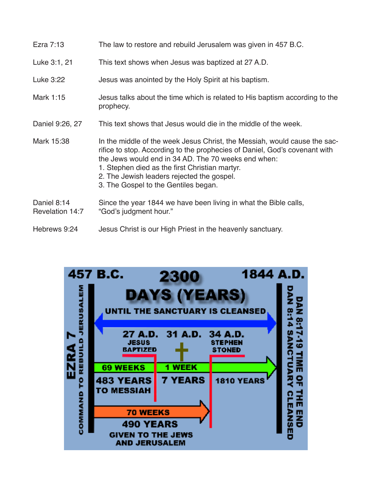| Ezra 7:13                      | The law to restore and rebuild Jerusalem was given in 457 B.C.                                                                                                                                                                                                                                                                                         |
|--------------------------------|--------------------------------------------------------------------------------------------------------------------------------------------------------------------------------------------------------------------------------------------------------------------------------------------------------------------------------------------------------|
| Luke 3:1, 21                   | This text shows when Jesus was baptized at 27 A.D.                                                                                                                                                                                                                                                                                                     |
| Luke 3:22                      | Jesus was anointed by the Holy Spirit at his baptism.                                                                                                                                                                                                                                                                                                  |
| Mark 1:15                      | Jesus talks about the time which is related to His baptism according to the<br>prophecy.                                                                                                                                                                                                                                                               |
| Daniel 9:26, 27                | This text shows that Jesus would die in the middle of the week.                                                                                                                                                                                                                                                                                        |
| Mark 15:38                     | In the middle of the week Jesus Christ, the Messiah, would cause the sac-<br>rifice to stop. According to the prophecies of Daniel, God's covenant with<br>the Jews would end in 34 AD. The 70 weeks end when:<br>1. Stephen died as the first Christian martyr.<br>2. The Jewish leaders rejected the gospel.<br>3. The Gospel to the Gentiles began. |
| Daniel 8:14<br>Revelation 14:7 | Since the year 1844 we have been living in what the Bible calls,<br>"God's judgment hour."                                                                                                                                                                                                                                                             |
| Hebrews 9:24                   | Jesus Christ is our High Priest in the heavenly sanctuary.                                                                                                                                                                                                                                                                                             |

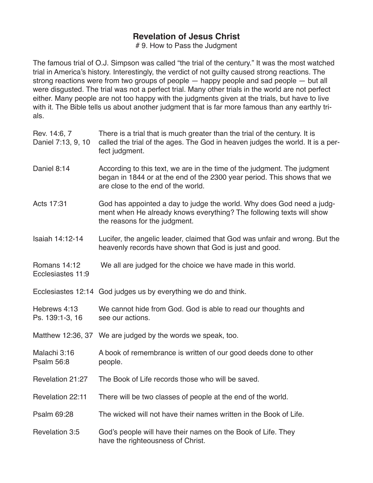# 9. How to Pass the Judgment

The famous trial of O.J. Simpson was called "the trial of the century." It was the most watched trial in America's history. Interestingly, the verdict of not guilty caused strong reactions. The strong reactions were from two groups of people — happy people and sad people — but all were disgusted. The trial was not a perfect trial. Many other trials in the world are not perfect either. Many people are not too happy with the judgments given at the trials, but have to live with it. The Bible tells us about another judgment that is far more famous than any earthly trials.

 $\equiv$ 

| Rev. 14:6, 7<br>Daniel 7:13, 9, 10 | There is a trial that is much greater than the trial of the century. It is<br>called the trial of the ages. The God in heaven judges the world. It is a per-<br>fect judgment.            |
|------------------------------------|-------------------------------------------------------------------------------------------------------------------------------------------------------------------------------------------|
| Daniel 8:14                        | According to this text, we are in the time of the judgment. The judgment<br>began in 1844 or at the end of the 2300 year period. This shows that we<br>are close to the end of the world. |
| Acts 17:31                         | God has appointed a day to judge the world. Why does God need a judg-<br>ment when He already knows everything? The following texts will show<br>the reasons for the judgment.            |
| Isaiah 14:12-14                    | Lucifer, the angelic leader, claimed that God was unfair and wrong. But the<br>heavenly records have shown that God is just and good.                                                     |
| Romans 14:12<br>Ecclesiastes 11:9  | We all are judged for the choice we have made in this world.                                                                                                                              |
|                                    | Ecclesiastes 12:14 God judges us by everything we do and think.                                                                                                                           |
| Hebrews 4:13<br>Ps. 139:1-3, 16    | We cannot hide from God. God is able to read our thoughts and<br>see our actions.                                                                                                         |
|                                    | Matthew 12:36, 37 We are judged by the words we speak, too.                                                                                                                               |
| Malachi 3:16<br><b>Psalm 56:8</b>  | A book of remembrance is written of our good deeds done to other<br>people.                                                                                                               |
| Revelation 21:27                   | The Book of Life records those who will be saved.                                                                                                                                         |
| Revelation 22:11                   | There will be two classes of people at the end of the world.                                                                                                                              |
| Psalm 69:28                        | The wicked will not have their names written in the Book of Life.                                                                                                                         |
| Revelation 3:5                     | God's people will have their names on the Book of Life. They<br>have the righteousness of Christ.                                                                                         |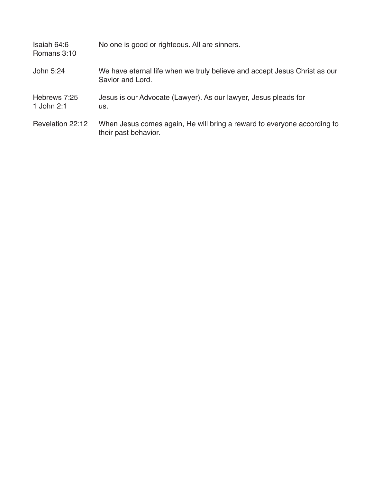| Isaiah 64:6<br>Romans 3:10 | No one is good or righteous. All are sinners.                                                   |
|----------------------------|-------------------------------------------------------------------------------------------------|
| John 5:24                  | We have eternal life when we truly believe and accept Jesus Christ as our<br>Savior and Lord.   |
| Hebrews 7:25<br>1 John 2:1 | Jesus is our Advocate (Lawyer). As our lawyer, Jesus pleads for<br>US.                          |
| Revelation 22:12           | When Jesus comes again, He will bring a reward to everyone according to<br>their past behavior. |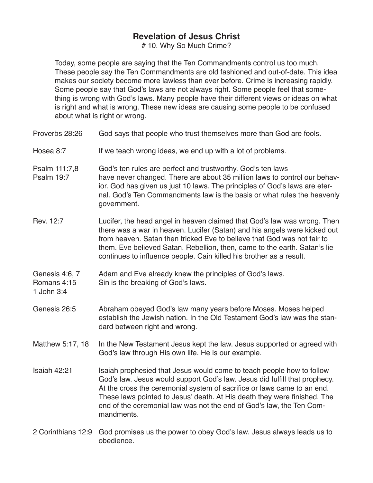# 10. Why So Much Crime?

Today, some people are saying that the Ten Commandments control us too much. These people say the Ten Commandments are old fashioned and out-of-date. This idea makes our society become more lawless than ever before. Crime is increasing rapidly. Some people say that God's laws are not always right. Some people feel that something is wrong with God's laws. Many people have their different views or ideas on what is right and what is wrong. These new ideas are causing some people to be confused about what is right or wrong.

| Proverbs 28:26                              | God says that people who trust themselves more than God are fools.                                                                                                                                                                                                                                                                                                                               |
|---------------------------------------------|--------------------------------------------------------------------------------------------------------------------------------------------------------------------------------------------------------------------------------------------------------------------------------------------------------------------------------------------------------------------------------------------------|
| Hosea 8:7                                   | If we teach wrong ideas, we end up with a lot of problems.                                                                                                                                                                                                                                                                                                                                       |
| Psalm 111:7,8<br><b>Psalm 19:7</b>          | God's ten rules are perfect and trustworthy. God's ten laws<br>have never changed. There are about 35 million laws to control our behav-<br>ior. God has given us just 10 laws. The principles of God's laws are eter-<br>nal. God's Ten Commandments law is the basis or what rules the heavenly<br>government.                                                                                 |
| Rev. 12:7                                   | Lucifer, the head angel in heaven claimed that God's law was wrong. Then<br>there was a war in heaven. Lucifer (Satan) and his angels were kicked out<br>from heaven. Satan then tricked Eve to believe that God was not fair to<br>them. Eve believed Satan. Rebellion, then, came to the earth. Satan's lie<br>continues to influence people. Cain killed his brother as a result.             |
| Genesis 4:6, 7<br>Romans 4:15<br>1 John 3:4 | Adam and Eve already knew the principles of God's laws.<br>Sin is the breaking of God's laws.                                                                                                                                                                                                                                                                                                    |
| Genesis 26:5                                | Abraham obeyed God's law many years before Moses. Moses helped<br>establish the Jewish nation. In the Old Testament God's law was the stan-<br>dard between right and wrong.                                                                                                                                                                                                                     |
| Matthew 5:17, 18                            | In the New Testament Jesus kept the law. Jesus supported or agreed with<br>God's law through His own life. He is our example.                                                                                                                                                                                                                                                                    |
| Isaiah 42:21                                | Isaiah prophesied that Jesus would come to teach people how to follow<br>God's law. Jesus would support God's law. Jesus did fulfill that prophecy.<br>At the cross the ceremonial system of sacrifice or laws came to an end.<br>These laws pointed to Jesus' death. At His death they were finished. The<br>end of the ceremonial law was not the end of God's law, the Ten Com-<br>mandments. |
|                                             |                                                                                                                                                                                                                                                                                                                                                                                                  |

2 Corinthians 12:9 God promises us the power to obey God's law. Jesus always leads us to obedience.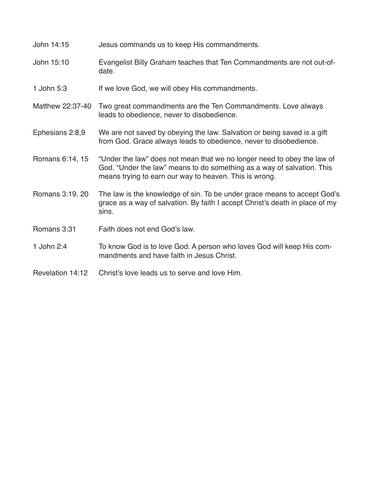- John 14:15 Jesus commands us to keep His commandments.
- John 15:10 Evangelist Billy Graham teaches that Ten Commandments are not out-ofdate.
- 1 John 5:3 If we love God, we will obey His commandments.
- Matthew 22:37-40 Two great commandments are the Ten Commandments. Love always leads to obedience, never to disobedience.
- Ephesians 2:8,9 We are not saved by obeying the law. Salvation or being saved is a gift from God. Grace always leads to obedience, never to disobedience.
- Romans 6:14, 15 "Under the law" does not mean that we no longer need to obey the law of God. "Under the law" means to do something as a way of salvation. This means trying to earn our way to heaven. This is wrong.
- Romans 3:19, 20 The law is the knowledge of sin. To be under grace means to accept God's grace as a way of salvation. By faith I accept Christ's death in place of my sins.
- Romans 3:31 Faith does not end God's law.
- 1 John 2:4 To know God is to love God. A person who loves God will keep His commandments and have faith in Jesus Christ.
- Revelation 14:12 Christ's love leads us to serve and love Him.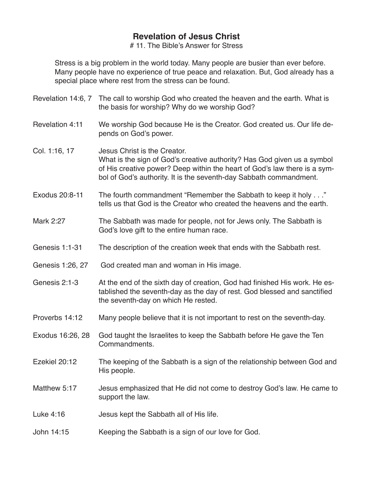# 11. The Bible's Answer for Stress

Stress is a big problem in the world today. Many people are busier than ever before. Many people have no experience of true peace and relaxation. But, God already has a special place where rest from the stress can be found.

|                       | Revelation 14:6, 7 The call to worship God who created the heaven and the earth. What is<br>the basis for worship? Why do we worship God?                                                                                                                  |
|-----------------------|------------------------------------------------------------------------------------------------------------------------------------------------------------------------------------------------------------------------------------------------------------|
| Revelation 4:11       | We worship God because He is the Creator. God created us. Our life de-<br>pends on God's power.                                                                                                                                                            |
| Col. 1:16, 17         | Jesus Christ is the Creator.<br>What is the sign of God's creative authority? Has God given us a symbol<br>of His creative power? Deep within the heart of God's law there is a sym-<br>bol of God's authority. It is the seventh-day Sabbath commandment. |
| Exodus 20:8-11        | The fourth commandment "Remember the Sabbath to keep it holy"<br>tells us that God is the Creator who created the heavens and the earth.                                                                                                                   |
| Mark 2:27             | The Sabbath was made for people, not for Jews only. The Sabbath is<br>God's love gift to the entire human race.                                                                                                                                            |
| <b>Genesis 1:1-31</b> | The description of the creation week that ends with the Sabbath rest.                                                                                                                                                                                      |
| Genesis 1:26, 27      | God created man and woman in His image.                                                                                                                                                                                                                    |
| Genesis 2:1-3         | At the end of the sixth day of creation, God had finished His work. He es-<br>tablished the seventh-day as the day of rest. God blessed and sanctified<br>the seventh-day on which He rested.                                                              |
| Proverbs 14:12        | Many people believe that it is not important to rest on the seventh-day.                                                                                                                                                                                   |
| Exodus 16:26, 28      | God taught the Israelites to keep the Sabbath before He gave the Ten<br>Commandments.                                                                                                                                                                      |
| Ezekiel 20:12         | The keeping of the Sabbath is a sign of the relationship between God and<br>His people.                                                                                                                                                                    |
| Matthew 5:17          | Jesus emphasized that He did not come to destroy God's law. He came to<br>support the law.                                                                                                                                                                 |
| Luke 4:16             | Jesus kept the Sabbath all of His life.                                                                                                                                                                                                                    |
| John 14:15            | Keeping the Sabbath is a sign of our love for God.                                                                                                                                                                                                         |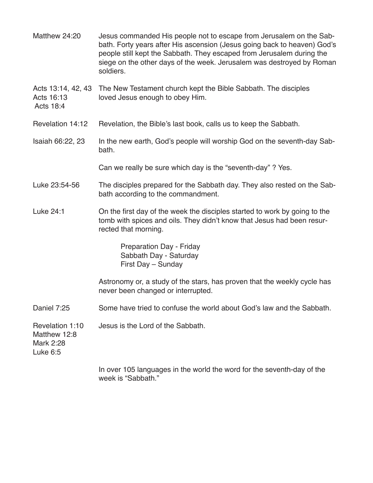- Matthew 24:20 Jesus commanded His people not to escape from Jerusalem on the Sabbath. Forty years after His ascension (Jesus going back to heaven) God's people still kept the Sabbath. They escaped from Jerusalem during the siege on the other days of the week. Jerusalem was destroyed by Roman soldiers.
- Acts 13:14, 42, 43 The New Testament church kept the Bible Sabbath. The disciples Acts 16:13 loved Jesus enough to obey Him. loved Jesus enough to obey Him.
- Acts 18:4
- Revelation 14:12 Revelation, the Bible's last book, calls us to keep the Sabbath.
- Isaiah 66:22, 23 In the new earth, God's people will worship God on the seventh-day Sabbath.

Can we really be sure which day is the "seventh-day" ? Yes.

- Luke 23:54-56 The disciples prepared for the Sabbath day. They also rested on the Sabbath according to the commandment.
- Luke 24:1 On the first day of the week the disciples started to work by going to the tomb with spices and oils. They didn't know that Jesus had been resurrected that morning.

Preparation Day - Friday Sabbath Day - Saturday First Day – Sunday

Astronomy or, a study of the stars, has proven that the weekly cycle has never been changed or interrupted.

Daniel 7:25 Some have tried to confuse the world about God's law and the Sabbath.

Revelation 1:10 Jesus is the Lord of the Sabbath.

Matthew 12:8 Mark 2:28 Luke 6:5

> In over 105 languages in the world the word for the seventh-day of the week is "Sabbath."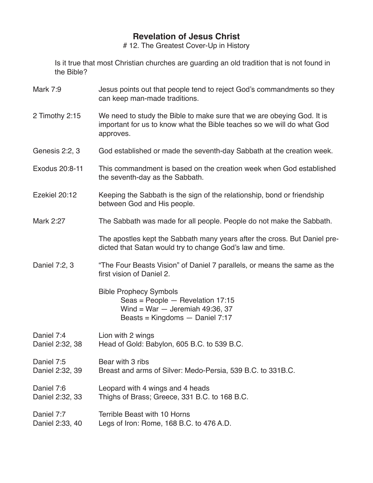# 12. The Greatest Cover-Up in History

Is it true that most Christian churches are guarding an old tradition that is not found in the Bible?

- Mark 7:9 Jesus points out that people tend to reject God's commandments so they can keep man-made traditions.
- 2 Timothy 2:15 We need to study the Bible to make sure that we are obeying God. It is important for us to know what the Bible teaches so we will do what God approves.
- Genesis 2:2, 3 God established or made the seventh-day Sabbath at the creation week.
- Exodus 20:8-11 This commandment is based on the creation week when God established the seventh-day as the Sabbath.
- Ezekiel 20:12 Keeping the Sabbath is the sign of the relationship, bond or friendship between God and His people.
- Mark 2:27 The Sabbath was made for all people. People do not make the Sabbath.

 The apostles kept the Sabbath many years after the cross. But Daniel predicted that Satan would try to change God's law and time.

Daniel 7:2, 3 "The Four Beasts Vision" of Daniel 7 parallels, or means the same as the first vision of Daniel 2.

> Bible Prophecy Symbols Seas = People — Revelation 17:15 Wind = War  $-$  Jeremiah 49:36, 37 Beasts = Kingdoms — Daniel 7:17

Daniel 7:4 Lion with 2 wings Daniel 2:32, 38 Head of Gold: Babylon, 605 B.C. to 539 B.C.

Daniel 7:5 Bear with 3 ribs Daniel 2:32, 39 Breast and arms of Silver: Medo-Persia, 539 B.C. to 331B.C.

Daniel 7:6 Leopard with 4 wings and 4 heads Daniel 2:32, 33 Thighs of Brass; Greece, 331 B.C. to 168 B.C.

Daniel 7:7 Terrible Beast with 10 Horns Daniel 2:33, 40 Legs of Iron: Rome, 168 B.C. to 476 A.D.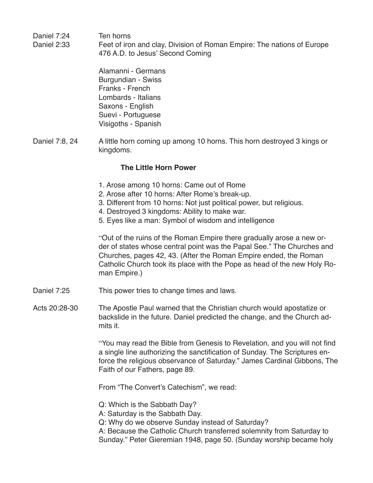| Daniel 7:24<br>Daniel 2:33 | Ten horns<br>Feet of iron and clay, Division of Roman Empire: The nations of Europe<br>476 A.D. to Jesus' Second Coming                                                                                                                                                                                         |
|----------------------------|-----------------------------------------------------------------------------------------------------------------------------------------------------------------------------------------------------------------------------------------------------------------------------------------------------------------|
|                            | Alamanni - Germans<br><b>Burgundian - Swiss</b><br>Franks - French<br>Lombards - Italians<br>Saxons - English<br>Suevi - Portuguese<br>Visigoths - Spanish                                                                                                                                                      |
| Daniel 7:8, 24             | A little horn coming up among 10 horns. This horn destroyed 3 kings or<br>kingdoms.                                                                                                                                                                                                                             |
|                            | <b>The Little Horn Power</b>                                                                                                                                                                                                                                                                                    |
|                            | 1. Arose among 10 horns: Came out of Rome<br>2. Arose after 10 horns: After Rome's break-up.<br>3. Different from 10 horns: Not just political power, but religious.<br>4. Destroyed 3 kingdoms: Ability to make war.<br>5. Eyes like a man: Symbol of wisdom and intelligence                                  |
|                            | "Out of the ruins of the Roman Empire there gradually arose a new or-<br>der of states whose central point was the Papal See." The Churches and<br>Churches, pages 42, 43. (After the Roman Empire ended, the Roman<br>Catholic Church took its place with the Pope as head of the new Holy Ro-<br>man Empire.) |
| Daniel 7:25                | This power tries to change times and laws.                                                                                                                                                                                                                                                                      |
| Acts 20:28-30              | The Apostle Paul warned that the Christian church would apostatize or<br>backslide in the future. Daniel predicted the change, and the Church ad-<br>mits it.                                                                                                                                                   |
|                            | "You may read the Bible from Genesis to Revelation, and you will not find<br>a single line authorizing the sanctification of Sunday. The Scriptures en-<br>force the religious observance of Saturday." James Cardinal Gibbons, The<br>Faith of our Fathers, page 89.                                           |
|                            | From "The Convert's Catechism", we read:                                                                                                                                                                                                                                                                        |
|                            | Q: Which is the Sabbath Day?<br>A: Saturday is the Sabbath Day.<br>Q: Why do we observe Sunday instead of Saturday?                                                                                                                                                                                             |

A: Because the Catholic Church transferred solemnity from Saturday to Sunday." Peter Gieremian 1948, page 50. (Sunday worship became holy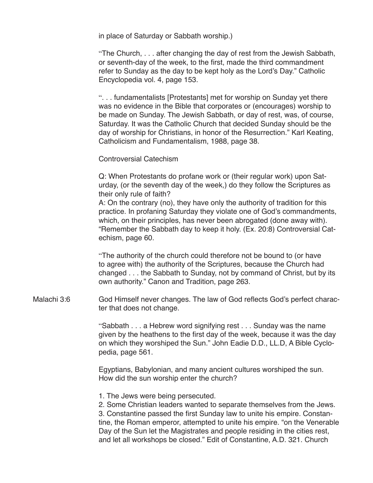in place of Saturday or Sabbath worship.)

"The Church, . . . after changing the day of rest from the Jewish Sabbath, or seventh-day of the week, to the first, made the third commandment refer to Sunday as the day to be kept holy as the Lord's Day." Catholic Encyclopedia vol. 4, page 153.

". . . fundamentalists [Protestants] met for worship on Sunday yet there was no evidence in the Bible that corporates or (encourages) worship to be made on Sunday. The Jewish Sabbath, or day of rest, was, of course, Saturday. It was the Catholic Church that decided Sunday should be the day of worship for Christians, in honor of the Resurrection." Karl Keating, Catholicism and Fundamentalism, 1988, page 38.

Controversial Catechism

Q: When Protestants do profane work or (their regular work) upon Saturday, (or the seventh day of the week,) do they follow the Scriptures as their only rule of faith?

A: On the contrary (no), they have only the authority of tradition for this practice. In profaning Saturday they violate one of God's commandments, which, on their principles, has never been abrogated (done away with). "Remember the Sabbath day to keep it holy. (Ex. 20:8) Controversial Catechism, page 60.

"The authority of the church could therefore not be bound to (or have to agree with) the authority of the Scriptures, because the Church had changed . . . the Sabbath to Sunday, not by command of Christ, but by its own authority." Canon and Tradition, page 263.

Malachi 3:6 God Himself never changes. The law of God reflects God's perfect character that does not change.

> "Sabbath . . . a Hebrew word signifying rest . . . Sunday was the name given by the heathens to the first day of the week, because it was the day on which they worshiped the Sun." John Eadie D.D., LL.D, A Bible Cyclopedia, page 561.

Egyptians, Babylonian, and many ancient cultures worshiped the sun. How did the sun worship enter the church?

1. The Jews were being persecuted.

2. Some Christian leaders wanted to separate themselves from the Jews. 3. Constantine passed the first Sunday law to unite his empire. Constantine, the Roman emperor, attempted to unite his empire. "on the Venerable Day of the Sun let the Magistrates and people residing in the cities rest, and let all workshops be closed." Edit of Constantine, A.D. 321. Church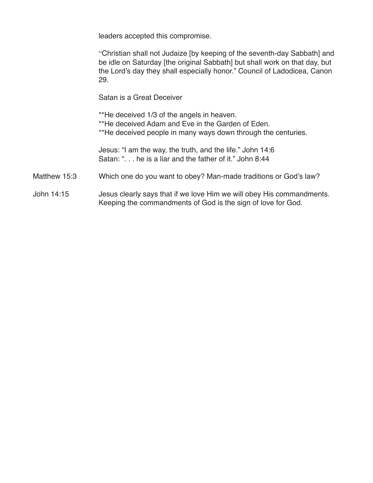leaders accepted this compromise.

"Christian shall not Judaize [by keeping of the seventh-day Sabbath] and be idle on Saturday [the original Sabbath] but shall work on that day, but the Lord's day they shall especially honor." Council of Ladodicea, Canon 29.

Satan is a Great Deceiver

\*\*He deceived 1/3 of the angels in heaven. \*\*He deceived Adam and Eve in the Garden of Eden. \*\*He deceived people in many ways down through the centuries.

Jesus: "I am the way, the truth, and the life." John 14:6 Satan: ". . . he is a liar and the father of it." John 8:44

- Matthew 15:3 Which one do you want to obey? Man-made traditions or God's law?
- John 14:15 Jesus clearly says that if we love Him we will obey His commandments. Keeping the commandments of God is the sign of love for God.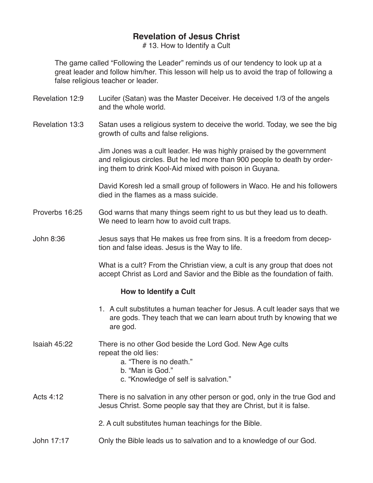# 13. How to Identify a Cult

The game called "Following the Leader" reminds us of our tendency to look up at a great leader and follow him/her. This lesson will help us to avoid the trap of following a false religious teacher or leader.

- Revelation 12:9 Lucifer (Satan) was the Master Deceiver. He deceived 1/3 of the angels and the whole world.
- Revelation 13:3 Satan uses a religious system to deceive the world. Today, we see the big growth of cults and false religions.

Jim Jones was a cult leader. He was highly praised by the government and religious circles. But he led more than 900 people to death by ordering them to drink Kool-Aid mixed with poison in Guyana.

David Koresh led a small group of followers in Waco. He and his followers died in the flames as a mass suicide.

- Proverbs 16:25 God warns that many things seem right to us but they lead us to death. We need to learn how to avoid cult traps.
- John 8:36 Jesus says that He makes us free from sins. It is a freedom from deception and false ideas. Jesus is the Way to life.

What is a cult? From the Christian view, a cult is any group that does not accept Christ as Lord and Savior and the Bible as the foundation of faith.

#### **How to Identify a Cult**

- 1. A cult substitutes a human teacher for Jesus. A cult leader says that we are gods. They teach that we can learn about truth by knowing that we are god.
- Isaiah 45:22 There is no other God beside the Lord God. New Age cults repeat the old lies:
	- a. "There is no death."
	- b. "Man is God."
	- c. "Knowledge of self is salvation."
- Acts 4:12 There is no salvation in any other person or god, only in the true God and Jesus Christ. Some people say that they are Christ, but it is false.

2. A cult substitutes human teachings for the Bible.

John 17:17 Only the Bible leads us to salvation and to a knowledge of our God.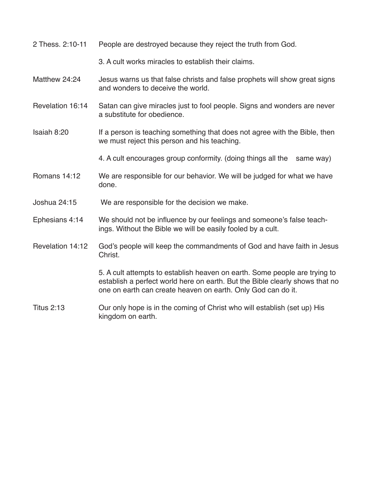2 Thess. 2:10-11 People are destroyed because they reject the truth from God.

3. A cult works miracles to establish their claims.

- Matthew 24:24 Jesus warns us that false christs and false prophets will show great signs and wonders to deceive the world.
- Revelation 16:14 Satan can give miracles just to fool people. Signs and wonders are never a substitute for obedience.
- Isaiah 8:20 If a person is teaching something that does not agree with the Bible, then we must reject this person and his teaching.
	- 4. A cult encourages group conformity. (doing things all the same way)
- Romans 14:12 We are responsible for our behavior. We will be judged for what we have done.
- Joshua 24:15 We are responsible for the decision we make.
- Ephesians 4:14 We should not be influence by our feelings and someone's false teachings. Without the Bible we will be easily fooled by a cult.
- Revelation 14:12 God's people will keep the commandments of God and have faith in Jesus Christ.

 5. A cult attempts to establish heaven on earth. Some people are trying to establish a perfect world here on earth. But the Bible clearly shows that no one on earth can create heaven on earth. Only God can do it.

Titus 2:13 Our only hope is in the coming of Christ who will establish (set up) His kingdom on earth.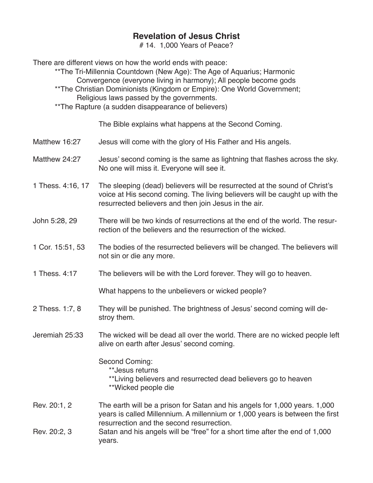# 14. 1,000 Years of Peace?

There are different views on how the world ends with peace:

\*\*The Tri-Millennia Countdown (New Age): The Age of Aquarius; Harmonic Convergence (everyone living in harmony); All people become gods

\*\*The Christian Dominionists (Kingdom or Empire): One World Government; Religious laws passed by the governments.

\*\*The Rapture (a sudden disappearance of believers)

The Bible explains what happens at the Second Coming.

- Matthew 16:27 Jesus will come with the glory of His Father and His angels.
- Matthew 24:27 Jesus' second coming is the same as lightning that flashes across the sky. No one will miss it. Everyone will see it.
- 1 Thess. 4:16, 17 The sleeping (dead) believers will be resurrected at the sound of Christ's voice at His second coming. The living believers will be caught up with the resurrected believers and then join Jesus in the air.
- John 5:28, 29 There will be two kinds of resurrections at the end of the world. The resurrection of the believers and the resurrection of the wicked.
- 1 Cor. 15:51, 53 The bodies of the resurrected believers will be changed. The believers will not sin or die any more.
- 1 Thess. 4:17 The believers will be with the Lord forever. They will go to heaven.

What happens to the unbelievers or wicked people?

- 2 Thess. 1:7, 8 They will be punished. The brightness of Jesus' second coming will destroy them.
- Jeremiah 25:33 The wicked will be dead all over the world. There are no wicked people left alive on earth after Jesus' second coming.

Second Coming:

- \*\*Jesus returns
- \*\*Living believers and resurrected dead believers go to heaven \*\*Wicked people die
- Rev. 20:1, 2 The earth will be a prison for Satan and his angels for 1,000 years. 1,000 years is called Millennium. A millennium or 1,000 years is between the first resurrection and the second resurrection.
- Rev. 20:2, 3 Satan and his angels will be "free" for a short time after the end of 1,000 years.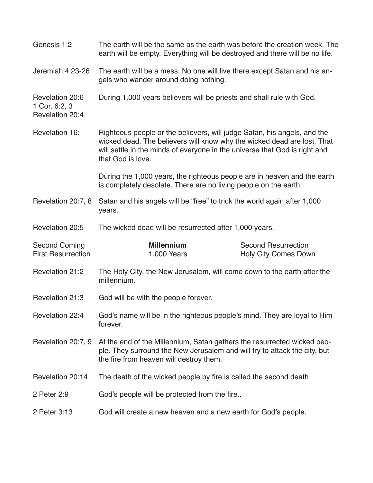| Genesis 1:2                                         | The earth will be the same as the earth was before the creation week. The<br>earth will be empty. Everything will be destroyed and there will be no life.                                                                                              |                                                           |
|-----------------------------------------------------|--------------------------------------------------------------------------------------------------------------------------------------------------------------------------------------------------------------------------------------------------------|-----------------------------------------------------------|
| Jeremiah 4:23-26                                    | The earth will be a mess. No one will live there except Satan and his an-<br>gels who wander around doing nothing.                                                                                                                                     |                                                           |
| Revelation 20:6<br>1 Cor. 6:2, 3<br>Revelation 20:4 | During 1,000 years believers will be priests and shall rule with God.                                                                                                                                                                                  |                                                           |
| Revelation 16:                                      | Righteous people or the believers, will judge Satan, his angels, and the<br>wicked dead. The believers will know why the wicked dead are lost. That<br>will settle in the minds of everyone in the universe that God is right and<br>that God is love. |                                                           |
|                                                     | During the 1,000 years, the righteous people are in heaven and the earth<br>is completely desolate. There are no living people on the earth.                                                                                                           |                                                           |
| Revelation 20:7, 8                                  | Satan and his angels will be "free" to trick the world again after 1,000<br>years.                                                                                                                                                                     |                                                           |
| Revelation 20:5                                     | The wicked dead will be resurrected after 1,000 years.                                                                                                                                                                                                 |                                                           |
| <b>Second Coming</b><br><b>First Resurrection</b>   | <b>Millennium</b><br>1,000 Years                                                                                                                                                                                                                       | <b>Second Resurrection</b><br><b>Holy City Comes Down</b> |
| Revelation 21:2                                     | The Holy City, the New Jerusalem, will come down to the earth after the<br>millennium.                                                                                                                                                                 |                                                           |
| Revelation 21:3                                     | God will be with the people forever.                                                                                                                                                                                                                   |                                                           |
| Revelation 22:4                                     | God's name will be in the righteous people's mind. They are loyal to Him<br>forever.                                                                                                                                                                   |                                                           |
| Revelation 20:7, 9                                  | At the end of the Millennium, Satan gathers the resurrected wicked peo-<br>ple. They surround the New Jerusalem and will try to attack the city, but<br>the fire from heaven will destroy them.                                                        |                                                           |
| Revelation 20:14                                    | The death of the wicked people by fire is called the second death                                                                                                                                                                                      |                                                           |
| 2 Peter 2:9                                         | God's people will be protected from the fire                                                                                                                                                                                                           |                                                           |
| 2 Peter 3:13                                        | God will create a new heaven and a new earth for God's people.                                                                                                                                                                                         |                                                           |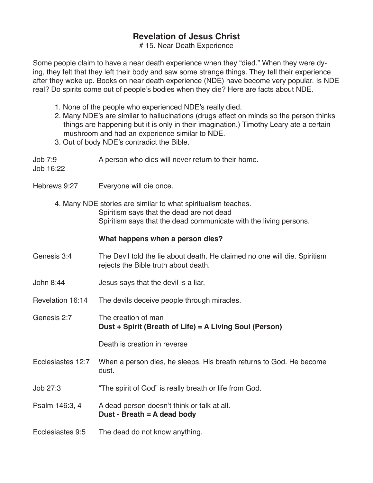# 15. Near Death Experience

Some people claim to have a near death experience when they "died." When they were dying, they felt that they left their body and saw some strange things. They tell their experience after they woke up. Books on near death experience (NDE) have become very popular. Is NDE real? Do spirits come out of people's bodies when they die? Here are facts about NDE.

- 1. None of the people who experienced NDE's really died.
- 2. Many NDE's are similar to hallucinations (drugs effect on minds so the person thinks things are happening but it is only in their imagination.) Timothy Leary ate a certain mushroom and had an experience similar to NDE.
- 3. Out of body NDE's contradict the Bible.
- Job 7:9 A person who dies will never return to their home.

Job 16:22

- Hebrews 9:27 Everyone will die once.
	- 4. Many NDE stories are similar to what spiritualism teaches. Spiritism says that the dead are not dead Spiritism says that the dead communicate with the living persons.

### **What happens when a person dies?**

- Genesis 3:4 The Devil told the lie about death. He claimed no one will die. Spiritism rejects the Bible truth about death.
- John 8:44 Jesus says that the devil is a liar.
- Revelation 16:14 The devils deceive people through miracles.
- Genesis 2:7 The creation of man **Dust + Spirit (Breath of Life) = A Living Soul (Person)**

Death is creation in reverse

- Ecclesiastes 12:7 When a person dies, he sleeps. His breath returns to God. He become dust.
- Job 27:3 "The spirit of God" is really breath or life from God.
- Psalm 146:3, 4 A dead person doesn't think or talk at all. **Dust - Breath = A dead body**
- Ecclesiastes 9:5 The dead do not know anything.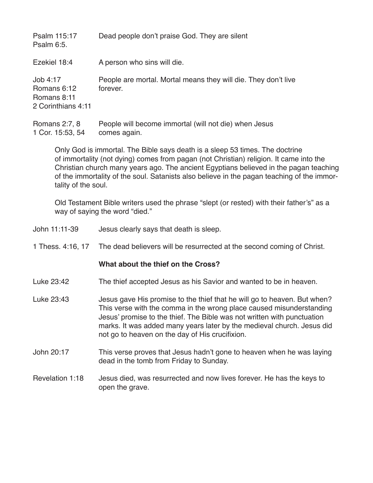| Psalm 115:17<br>Psalm 6:5.                                   | Dead people don't praise God. They are silent                              |
|--------------------------------------------------------------|----------------------------------------------------------------------------|
| Ezekiel 18:4                                                 | A person who sins will die.                                                |
| Job 4:17<br>Romans 6:12<br>Romans 8:11<br>2 Corinthians 4:11 | People are mortal. Mortal means they will die. They don't live<br>forever. |
| Romans 2:7, 8<br>1 Cor. 15:53, 54                            | People will become immortal (will not die) when Jesus<br>comes again.      |

Only God is immortal. The Bible says death is a sleep 53 times. The doctrine of immortality (not dying) comes from pagan (not Christian) religion. It came into the Christian church many years ago. The ancient Egyptians believed in the pagan teaching of the immortality of the soul. Satanists also believe in the pagan teaching of the immortality of the soul.

Old Testament Bible writers used the phrase "slept (or rested) with their father's" as a way of saying the word "died."

| John 11:11-39     | Jesus clearly says that death is sleep.                                                                                                                                                                                                                                                                                                                  |
|-------------------|----------------------------------------------------------------------------------------------------------------------------------------------------------------------------------------------------------------------------------------------------------------------------------------------------------------------------------------------------------|
| 1 Thess. 4:16, 17 | The dead believers will be resurrected at the second coming of Christ.                                                                                                                                                                                                                                                                                   |
|                   | What about the thief on the Cross?                                                                                                                                                                                                                                                                                                                       |
| Luke 23:42        | The thief accepted Jesus as his Savior and wanted to be in heaven.                                                                                                                                                                                                                                                                                       |
| Luke 23:43        | Jesus gave His promise to the thief that he will go to heaven. But when?<br>This verse with the comma in the wrong place caused misunderstanding<br>Jesus' promise to the thief. The Bible was not written with punctuation<br>marks. It was added many years later by the medieval church. Jesus did<br>not go to heaven on the day of His crucifixion. |
| John 20:17        | This verse proves that Jesus hadn't gone to heaven when he was laying<br>dead in the tomb from Friday to Sunday.                                                                                                                                                                                                                                         |
| Revelation 1:18   | Jesus died, was resurrected and now lives forever. He has the keys to<br>open the grave.                                                                                                                                                                                                                                                                 |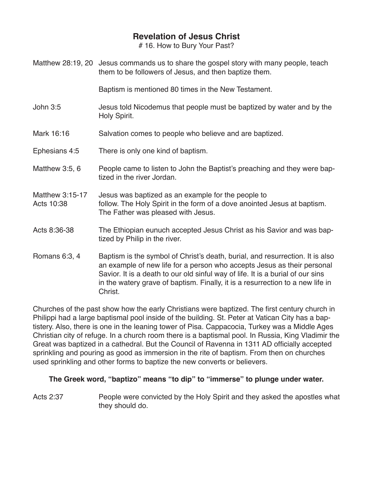# 16. How to Bury Your Past?

Matthew 28:19, 20 Jesus commands us to share the gospel story with many people, teach them to be followers of Jesus, and then baptize them.

Baptism is mentioned 80 times in the New Testament.

- John 3:5 Jesus told Nicodemus that people must be baptized by water and by the Holy Spirit.
- Mark 16:16 Salvation comes to people who believe and are baptized.
- Ephesians 4:5 There is only one kind of baptism.
- Matthew 3:5, 6 People came to listen to John the Baptist's preaching and they were baptized in the river Jordan.
- Matthew 3:15-17 Jesus was baptized as an example for the people to Acts 10:38 follow. The Holy Spirit in the form of a dove anointed Jesus at baptism. The Father was pleased with Jesus.

## Acts 8:36-38 The Ethiopian eunuch accepted Jesus Christ as his Savior and was baptized by Philip in the river.

Romans 6:3, 4 Baptism is the symbol of Christ's death, burial, and resurrection. It is also an example of new life for a person who accepts Jesus as their personal Savior. It is a death to our old sinful way of life. It is a burial of our sins in the watery grave of baptism. Finally, it is a resurrection to a new life in Christ.

Churches of the past show how the early Christians were baptized. The first century church in Philippi had a large baptismal pool inside of the building. St. Peter at Vatican City has a baptistery. Also, there is one in the leaning tower of Pisa. Cappacocia, Turkey was a Middle Ages Christian city of refuge. In a church room there is a baptismal pool. In Russia, King Vladimir the Great was baptized in a cathedral. But the Council of Ravenna in 1311 AD officially accepted sprinkling and pouring as good as immersion in the rite of baptism. From then on churches used sprinkling and other forms to baptize the new converts or believers.

## **The Greek word, "baptizo" means "to dip" to "immerse" to plunge under water.**

Acts 2:37 **People were convicted by the Holy Spirit and they asked the apostles what** they should do.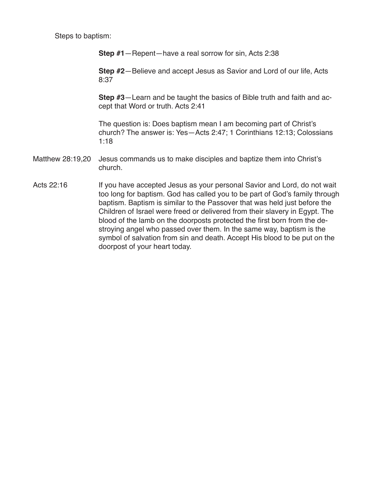Steps to baptism:

**Step #1**—Repent—have a real sorrow for sin, Acts 2:38

**Step #2**—Believe and accept Jesus as Savior and Lord of our life, Acts 8:37

**Step #3**—Learn and be taught the basics of Bible truth and faith and accept that Word or truth. Acts 2:41

The question is: Does baptism mean I am becoming part of Christ's church? The answer is: Yes—Acts 2:47; 1 Corinthians 12:13; Colossians 1:18

- Matthew 28:19,20 Jesus commands us to make disciples and baptize them into Christ's church.
- Acts 22:16 If you have accepted Jesus as your personal Savior and Lord, do not wait too long for baptism. God has called you to be part of God's family through baptism. Baptism is similar to the Passover that was held just before the Children of Israel were freed or delivered from their slavery in Egypt. The blood of the lamb on the doorposts protected the first born from the destroying angel who passed over them. In the same way, baptism is the symbol of salvation from sin and death. Accept His blood to be put on the doorpost of your heart today.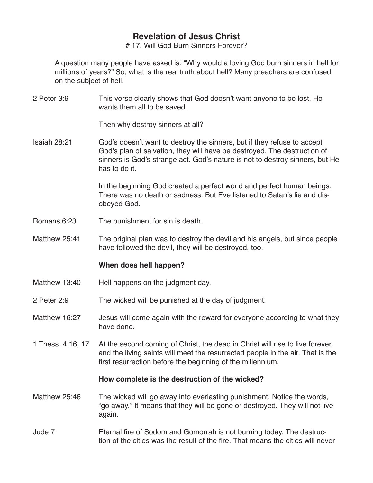# 17. Will God Burn Sinners Forever?

A question many people have asked is: "Why would a loving God burn sinners in hell for millions of years?" So, what is the real truth about hell? Many preachers are confused on the subject of hell.

2 Peter 3:9 This verse clearly shows that God doesn't want anyone to be lost. He wants them all to be saved.

Then why destroy sinners at all?

Isaiah 28:21 God's doesn't want to destroy the sinners, but if they refuse to accept God's plan of salvation, they will have be destroyed. The destruction of sinners is God's strange act. God's nature is not to destroy sinners, but He has to do it.

> In the beginning God created a perfect world and perfect human beings. There was no death or sadness. But Eve listened to Satan's lie and disobeyed God.

- Romans 6:23 The punishment for sin is death.
- Matthew 25:41 The original plan was to destroy the devil and his angels, but since people have followed the devil, they will be destroyed, too.

#### **When does hell happen?**

- Matthew 13:40 Hell happens on the judgment day.
- 2 Peter 2:9 The wicked will be punished at the day of judgment.
- Matthew 16:27 Jesus will come again with the reward for everyone according to what they have done.
- 1 Thess. 4:16, 17 At the second coming of Christ, the dead in Christ will rise to live forever, and the living saints will meet the resurrected people in the air. That is the first resurrection before the beginning of the millennium.

#### **How complete is the destruction of the wicked?**

- Matthew 25:46 The wicked will go away into everlasting punishment. Notice the words, "go away." It means that they will be gone or destroyed. They will not live again.
- Jude 7 Eternal fire of Sodom and Gomorrah is not burning today. The destruction of the cities was the result of the fire. That means the cities will never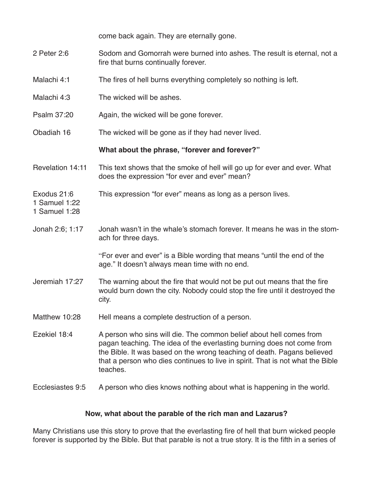|                                               | come back again. They are eternally gone.                                                                                                                                                                                                                                                                              |
|-----------------------------------------------|------------------------------------------------------------------------------------------------------------------------------------------------------------------------------------------------------------------------------------------------------------------------------------------------------------------------|
| 2 Peter 2:6                                   | Sodom and Gomorrah were burned into ashes. The result is eternal, not a<br>fire that burns continually forever.                                                                                                                                                                                                        |
| Malachi 4:1                                   | The fires of hell burns everything completely so nothing is left.                                                                                                                                                                                                                                                      |
| Malachi 4:3                                   | The wicked will be ashes.                                                                                                                                                                                                                                                                                              |
| Psalm 37:20                                   | Again, the wicked will be gone forever.                                                                                                                                                                                                                                                                                |
| Obadiah 16                                    | The wicked will be gone as if they had never lived.                                                                                                                                                                                                                                                                    |
|                                               | What about the phrase, "forever and forever?"                                                                                                                                                                                                                                                                          |
| Revelation 14:11                              | This text shows that the smoke of hell will go up for ever and ever. What<br>does the expression "for ever and ever" mean?                                                                                                                                                                                             |
| Exodus 21:6<br>1 Samuel 1:22<br>1 Samuel 1:28 | This expression "for ever" means as long as a person lives.                                                                                                                                                                                                                                                            |
| Jonah 2:6; 1:17                               | Jonah wasn't in the whale's stomach forever. It means he was in the stom-<br>ach for three days.                                                                                                                                                                                                                       |
|                                               | "For ever and ever" is a Bible wording that means "until the end of the<br>age." It doesn't always mean time with no end.                                                                                                                                                                                              |
| Jeremiah 17:27                                | The warning about the fire that would not be put out means that the fire<br>would burn down the city. Nobody could stop the fire until it destroyed the<br>city.                                                                                                                                                       |
| Matthew 10:28                                 | Hell means a complete destruction of a person.                                                                                                                                                                                                                                                                         |
| Ezekiel 18:4                                  | A person who sins will die. The common belief about hell comes from<br>pagan teaching. The idea of the everlasting burning does not come from<br>the Bible. It was based on the wrong teaching of death. Pagans believed<br>that a person who dies continues to live in spirit. That is not what the Bible<br>teaches. |
| Ecclesiastes 9:5                              | A person who dies knows nothing about what is happening in the world.                                                                                                                                                                                                                                                  |

## **Now, what about the parable of the rich man and Lazarus?**

Many Christians use this story to prove that the everlasting fire of hell that burn wicked people forever is supported by the Bible. But that parable is not a true story. It is the fifth in a series of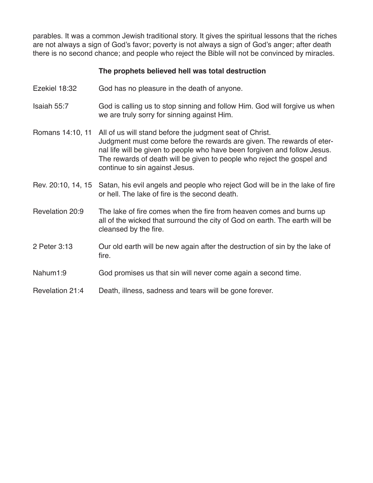parables. It was a common Jewish traditional story. It gives the spiritual lessons that the riches are not always a sign of God's favor; poverty is not always a sign of God's anger; after death there is no second chance; and people who reject the Bible will not be convinced by miracles.

### **The prophets believed hell was total destruction**

- Ezekiel 18:32 God has no pleasure in the death of anyone.
- Isaiah 55:7 God is calling us to stop sinning and follow Him. God will forgive us when we are truly sorry for sinning against Him.
- Romans 14:10, 11 All of us will stand before the judgment seat of Christ. Judgment must come before the rewards are given. The rewards of eternal life will be given to people who have been forgiven and follow Jesus. The rewards of death will be given to people who reject the gospel and continue to sin against Jesus.
- Rev. 20:10, 14, 15 Satan, his evil angels and people who reject God will be in the lake of fire or hell. The lake of fire is the second death.
- Revelation 20:9 The lake of fire comes when the fire from heaven comes and burns up all of the wicked that surround the city of God on earth. The earth will be cleansed by the fire.
- 2 Peter 3:13 Our old earth will be new again after the destruction of sin by the lake of fire.
- Nahum1:9 God promises us that sin will never come again a second time.
- Revelation 21:4 Death, illness, sadness and tears will be gone forever.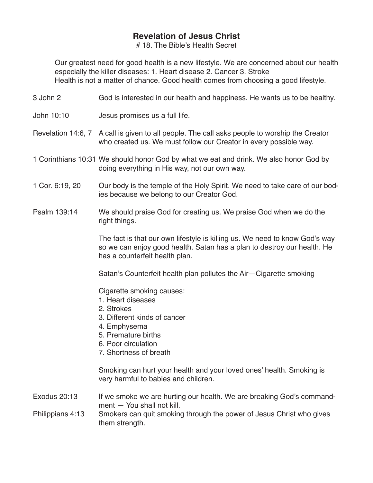# 18. The Bible's Health Secret

Our greatest need for good health is a new lifestyle. We are concerned about our health especially the killer diseases: 1. Heart disease 2. Cancer 3. Stroke Health is not a matter of chance. Good health comes from choosing a good lifestyle.

- 3 John 2 God is interested in our health and happiness. He wants us to be healthy.
- John 10:10 Jesus promises us a full life.
- Revelation 14:6, 7 A call is given to all people. The call asks people to worship the Creator who created us. We must follow our Creator in every possible way.
- 1 Corinthians 10:31 We should honor God by what we eat and drink. We also honor God by doing everything in His way, not our own way.
- 1 Cor. 6:19, 20 Our body is the temple of the Holy Spirit. We need to take care of our bodies because we belong to our Creator God.
- Psalm 139:14 We should praise God for creating us. We praise God when we do the right things.

The fact is that our own lifestyle is killing us. We need to know God's way so we can enjoy good health. Satan has a plan to destroy our health. He has a counterfeit health plan.

Satan's Counterfeit health plan pollutes the Air—Cigarette smoking

Cigarette smoking causes:

- 1. Heart diseases
- 2. Strokes
- 3. Different kinds of cancer
- 4. Emphysema
- 5. Premature births
- 6. Poor circulation
- 7. Shortness of breath

Smoking can hurt your health and your loved ones' health. Smoking is very harmful to babies and children.

- Exodus 20:13 If we smoke we are hurting our health. We are breaking God's commandment — You shall not kill.
- Philippians 4:13 Smokers can quit smoking through the power of Jesus Christ who gives them strength.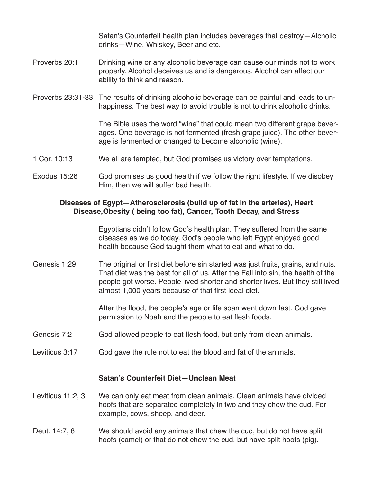Satan's Counterfeit health plan includes beverages that destroy—Alcholic drinks—Wine, Whiskey, Beer and etc.

- Proverbs 20:1 Drinking wine or any alcoholic beverage can cause our minds not to work properly. Alcohol deceives us and is dangerous. Alcohol can affect our ability to think and reason.
- Proverbs 23:31-33 The results of drinking alcoholic beverage can be painful and leads to unhappiness. The best way to avoid trouble is not to drink alcoholic drinks.

 The Bible uses the word "wine" that could mean two different grape beverages. One beverage is not fermented (fresh grape juice). The other beverage is fermented or changed to become alcoholic (wine).

- 1 Cor. 10:13 We all are tempted, but God promises us victory over temptations.
- Exodus 15:26 God promises us good health if we follow the right lifestyle. If we disobey Him, then we will suffer bad health.

### **Diseases of Egypt—Atherosclerosis (build up of fat in the arteries), Heart Disease,Obesity ( being too fat), Cancer, Tooth Decay, and Stress**

Egyptians didn't follow God's health plan. They suffered from the same diseases as we do today. God's people who left Egypt enjoyed good health because God taught them what to eat and what to do.

Genesis 1:29 The original or first diet before sin started was just fruits, grains, and nuts. That diet was the best for all of us. After the Fall into sin, the health of the people got worse. People lived shorter and shorter lives. But they still lived almost 1,000 years because of that first ideal diet.

> After the flood, the people's age or life span went down fast. God gave permission to Noah and the people to eat flesh foods.

- Genesis 7:2 God allowed people to eat flesh food, but only from clean animals.
- Leviticus 3:17 God gave the rule not to eat the blood and fat of the animals.

#### **Satan's Counterfeit Diet—Unclean Meat**

- Leviticus 11:2, 3 We can only eat meat from clean animals. Clean animals have divided hoofs that are separated completely in two and they chew the cud. For example, cows, sheep, and deer.
- Deut. 14:7, 8 We should avoid any animals that chew the cud, but do not have split hoofs (camel) or that do not chew the cud, but have split hoofs (pig).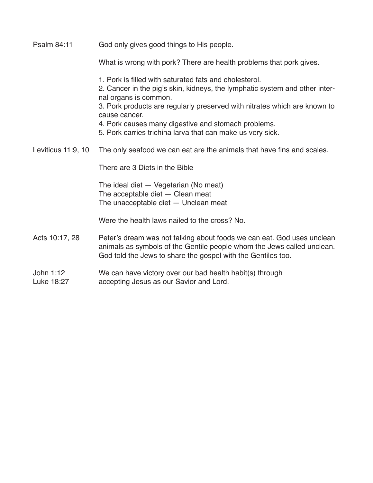| Psalm 84:11             | God only gives good things to His people.                                                                                                                                                                                                                                                                                                                                         |
|-------------------------|-----------------------------------------------------------------------------------------------------------------------------------------------------------------------------------------------------------------------------------------------------------------------------------------------------------------------------------------------------------------------------------|
|                         | What is wrong with pork? There are health problems that pork gives.                                                                                                                                                                                                                                                                                                               |
|                         | 1. Pork is filled with saturated fats and cholesterol.<br>2. Cancer in the pig's skin, kidneys, the lymphatic system and other inter-<br>nal organs is common.<br>3. Pork products are regularly preserved with nitrates which are known to<br>cause cancer.<br>4. Pork causes many digestive and stomach problems.<br>5. Pork carries trichina larva that can make us very sick. |
| Leviticus 11:9, 10      | The only seafood we can eat are the animals that have fins and scales.                                                                                                                                                                                                                                                                                                            |
|                         | There are 3 Diets in the Bible                                                                                                                                                                                                                                                                                                                                                    |
|                         | The ideal diet - Vegetarian (No meat)<br>The acceptable diet - Clean meat<br>The unacceptable diet - Unclean meat                                                                                                                                                                                                                                                                 |
|                         | Were the health laws nailed to the cross? No.                                                                                                                                                                                                                                                                                                                                     |
| Acts 10:17, 28          | Peter's dream was not talking about foods we can eat. God uses unclean<br>animals as symbols of the Gentile people whom the Jews called unclean.<br>God told the Jews to share the gospel with the Gentiles too.                                                                                                                                                                  |
| John 1:12<br>Luke 18:27 | We can have victory over our bad health habit(s) through<br>accepting Jesus as our Savior and Lord.                                                                                                                                                                                                                                                                               |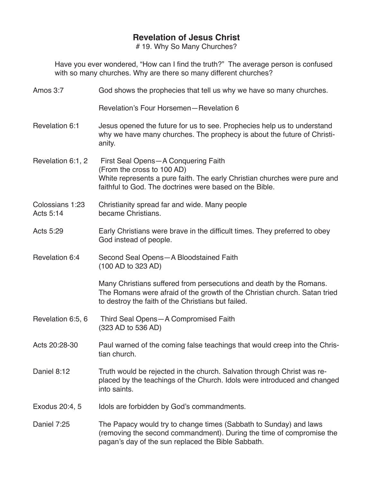# 19. Why So Many Churches?

Have you ever wondered, "How can I find the truth?" The average person is confused with so many churches. Why are there so many different churches?

| Amos 3:7                     | God shows the prophecies that tell us why we have so many churches.                                                                                                                                       |
|------------------------------|-----------------------------------------------------------------------------------------------------------------------------------------------------------------------------------------------------------|
|                              | Revelation's Four Horsemen-Revelation 6                                                                                                                                                                   |
| Revelation 6:1               | Jesus opened the future for us to see. Prophecies help us to understand<br>why we have many churches. The prophecy is about the future of Christi-<br>anity.                                              |
| Revelation 6:1, 2            | First Seal Opens-A Conquering Faith<br>(From the cross to 100 AD)<br>White represents a pure faith. The early Christian churches were pure and<br>faithful to God. The doctrines were based on the Bible. |
| Colossians 1:23<br>Acts 5:14 | Christianity spread far and wide. Many people<br>became Christians.                                                                                                                                       |
| Acts 5:29                    | Early Christians were brave in the difficult times. They preferred to obey<br>God instead of people.                                                                                                      |
| Revelation 6:4               | Second Seal Opens-A Bloodstained Faith<br>(100 AD to 323 AD)                                                                                                                                              |
|                              | Many Christians suffered from persecutions and death by the Romans.<br>The Romans were afraid of the growth of the Christian church. Satan tried<br>to destroy the faith of the Christians but failed.    |
| Revelation 6:5, 6            | Third Seal Opens-A Compromised Faith<br>(323 AD to 536 AD)                                                                                                                                                |
| Acts 20:28-30                | Paul warned of the coming false teachings that would creep into the Chris-<br>tian church.                                                                                                                |
| Daniel 8:12                  | Truth would be rejected in the church. Salvation through Christ was re-<br>placed by the teachings of the Church. Idols were introduced and changed<br>into saints.                                       |
| Exodus 20:4, 5               | Idols are forbidden by God's commandments.                                                                                                                                                                |
| Daniel 7:25                  | The Papacy would try to change times (Sabbath to Sunday) and laws<br>(removing the second commandment). During the time of compromise the<br>pagan's day of the sun replaced the Bible Sabbath.           |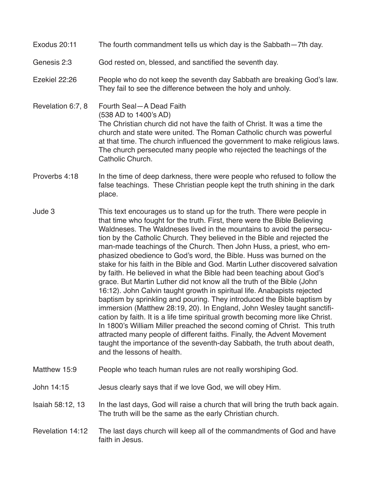- Exodus 20:11 The fourth commandment tells us which day is the Sabbath—7th day.
- Genesis 2:3 God rested on, blessed, and sanctified the seventh day.
- Ezekiel 22:26 People who do not keep the seventh day Sabbath are breaking God's law. They fail to see the difference between the holy and unholy.
- Revelation 6:7, 8 Fourth Seal—A Dead Faith (538 AD to 1400's AD) The Christian church did not have the faith of Christ. It was a time the church and state were united. The Roman Catholic church was powerful at that time. The church influenced the government to make religious laws. The church persecuted many people who rejected the teachings of the Catholic Church.
- Proverbs 4:18 In the time of deep darkness, there were people who refused to follow the false teachings. These Christian people kept the truth shining in the dark place.
- Jude 3 This text encourages us to stand up for the truth. There were people in that time who fought for the truth. First, there were the Bible Believing Waldneses. The Waldneses lived in the mountains to avoid the persecution by the Catholic Church. They believed in the Bible and rejected the man-made teachings of the Church. Then John Huss, a priest, who emphasized obedience to God's word, the Bible. Huss was burned on the stake for his faith in the Bible and God. Martin Luther discovered salvation by faith. He believed in what the Bible had been teaching about God's grace. But Martin Luther did not know all the truth of the Bible (John 16:12). John Calvin taught growth in spiritual life. Anabapists rejected baptism by sprinkling and pouring. They introduced the Bible baptism by immersion (Matthew 28:19, 20). In England, John Wesley taught sanctification by faith. It is a life time spiritual growth becoming more like Christ. In 1800's William Miller preached the second coming of Christ. This truth attracted many people of different faiths. Finally, the Advent Movement taught the importance of the seventh-day Sabbath, the truth about death, and the lessons of health.
- Matthew 15:9 People who teach human rules are not really worshiping God.
- John 14:15 Jesus clearly says that if we love God, we will obey Him.
- Isaiah 58:12, 13 In the last days, God will raise a church that will bring the truth back again. The truth will be the same as the early Christian church.
- Revelation 14:12 The last days church will keep all of the commandments of God and have faith in Jesus.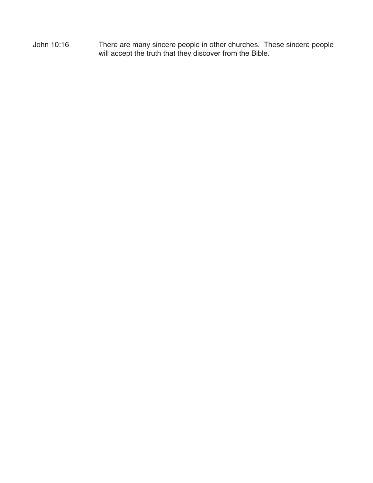John 10:16 There are many sincere people in other churches. These sincere people will accept the truth that they discover from the Bible.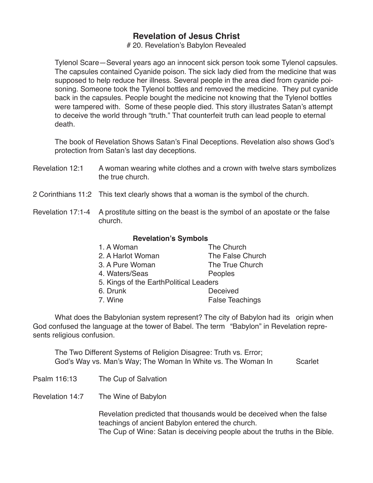# 20. Revelation's Babylon Revealed

Tylenol Scare—Several years ago an innocent sick person took some Tylenol capsules. The capsules contained Cyanide poison. The sick lady died from the medicine that was supposed to help reduce her illness. Several people in the area died from cyanide poisoning. Someone took the Tylenol bottles and removed the medicine. They put cyanide back in the capsules. People bought the medicine not knowing that the Tylenol bottles were tampered with. Some of these people died. This story illustrates Satan's attempt to deceive the world through "truth." That counterfeit truth can lead people to eternal death.

The book of Revelation Shows Satan's Final Deceptions. Revelation also shows God's protection from Satan's last day deceptions.

- Revelation 12:1 A woman wearing white clothes and a crown with twelve stars symbolizes the true church.
- 2 Corinthians 11:2 This text clearly shows that a woman is the symbol of the church.
- Revelation 17:1-4 A prostitute sitting on the beast is the symbol of an apostate or the false church.

#### **Revelation's Symbols**

| 1. A Woman                             | The Church             |
|----------------------------------------|------------------------|
| 2. A Harlot Woman                      | The False Church       |
| 3. A Pure Woman                        | The True Church        |
| 4. Waters/Seas                         | <b>Peoples</b>         |
| 5. Kings of the EarthPolitical Leaders |                        |
| 6. Drunk                               | Deceived               |
| 7. Wine                                | <b>False Teachings</b> |

What does the Babylonian system represent? The city of Babylon had its origin when God confused the language at the tower of Babel. The term "Babylon" in Revelation repre-

The Two Different Systems of Religion Disagree: Truth vs. Error; God's Way vs. Man's Way; The Woman In White vs. The Woman In Scarlet

Psalm 116:13 The Cup of Salvation

sents religious confusion.

Revelation 14:7 The Wine of Babylon

Revelation predicted that thousands would be deceived when the false teachings of ancient Babylon entered the church. The Cup of Wine: Satan is deceiving people about the truths in the Bible.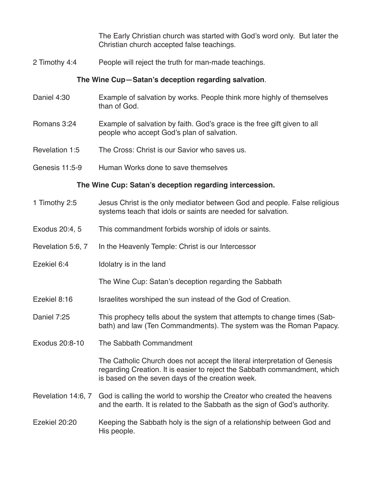The Early Christian church was started with God's word only. But later the Christian church accepted false teachings.

2 Timothy 4:4 People will reject the truth for man-made teachings.

#### **The Wine Cup—Satan's deception regarding salvation**.

- Daniel 4:30 Example of salvation by works. People think more highly of themselves than of God.
- Romans 3:24 Example of salvation by faith. God's grace is the free gift given to all people who accept God's plan of salvation.
- Revelation 1:5 The Cross: Christ is our Savior who saves us.
- Genesis 11:5-9 Human Works done to save themselves

#### **The Wine Cup: Satan's deception regarding intercession.**

- 1 Timothy 2:5 Jesus Christ is the only mediator between God and people. False religious systems teach that idols or saints are needed for salvation.
- Exodus 20:4, 5 This commandment forbids worship of idols or saints.
- Revelation 5:6, 7 In the Heavenly Temple: Christ is our Intercessor
- Ezekiel 6:4 Idolatry is in the land

The Wine Cup: Satan's deception regarding the Sabbath

- Ezekiel 8:16 Israelites worshiped the sun instead of the God of Creation.
- Daniel 7:25 This prophecy tells about the system that attempts to change times (Sabbath) and law (Ten Commandments). The system was the Roman Papacy.
- Exodus 20:8-10 The Sabbath Commandment

The Catholic Church does not accept the literal interpretation of Genesis regarding Creation. It is easier to reject the Sabbath commandment, which is based on the seven days of the creation week.

Revelation 14:6, 7 God is calling the world to worship the Creator who created the heavens and the earth. It is related to the Sabbath as the sign of God's authority.

### Ezekiel 20:20 Keeping the Sabbath holy is the sign of a relationship between God and His people.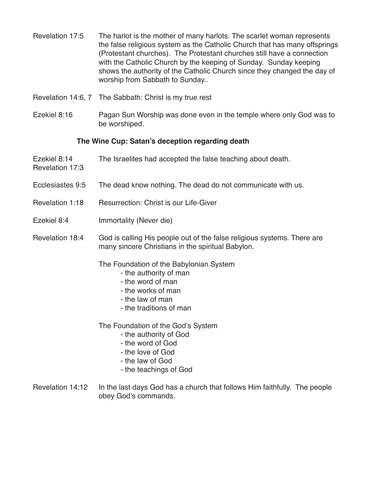- Revelation 17:5 The harlot is the mother of many harlots. The scarlet woman represents the false religious system as the Catholic Church that has many offsprings (Protestant churches). The Protestant churches still have a connection with the Catholic Church by the keeping of Sunday. Sunday keeping shows the authority of the Catholic Church since they changed the day of worship from Sabbath to Sunday..
- Revelation 14:6, 7 The Sabbath: Christ is my true rest
- Ezekiel 8:16 Pagan Sun Worship was done even in the temple where only God was to be worshiped.

#### **The Wine Cup: Satan's deception regarding death**

- Ezekiel 8:14 The Israelites had accepted the false teaching about death.
- Ecclesiastes 9:5 The dead know nothing. The dead do not communicate with us.
- Revelation 1:18 Resurrection: Christ is our Life-Giver
- Ezekiel 8:4 Immortality (Never die)

Revelation 17:3

Revelation 18:4 God is calling His people out of the false religious systems. There are many sincere Christians in the spiritual Babylon.

#### The Foundation of the Babylonian System

- the authority of man
- the word of man
- the works of man
- the law of man
- the traditions of man

The Foundation of the God's System

- the authority of God
- the word of God
- the love of God
- the law of God
- the teachings of God
- Revelation 14:12 In the last days God has a church that follows Him faithfully. The people obey God's commands.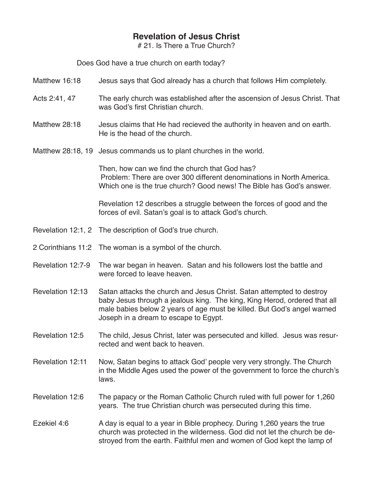# 21. Is There a True Church?

Does God have a true church on earth today?

- Matthew 16:18 Jesus says that God already has a church that follows Him completely.
- Acts 2:41, 47 The early church was established after the ascension of Jesus Christ. That was God's first Christian church.
- Matthew 28:18 Jesus claims that He had recieved the authority in heaven and on earth. He is the head of the church.
- Matthew 28:18, 19 Jesus commands us to plant churches in the world.

Then, how can we find the church that God has? Problem: There are over 300 different denominations in North America. Which one is the true church? Good news! The Bible has God's answer.

Revelation 12 describes a struggle between the forces of good and the forces of evil. Satan's goal is to attack God's church.

- Revelation 12:1, 2 The description of God's true church.
- 2 Corinthians 11:2 The woman is a symbol of the church.
- Revelation 12:7-9 The war began in heaven. Satan and his followers lost the battle and were forced to leave heaven.
- Revelation 12:13 Satan attacks the church and Jesus Christ. Satan attempted to destroy baby Jesus through a jealous king. The king, King Herod, ordered that all male babies below 2 years of age must be killed. But God's angel warned Joseph in a dream to escape to Egypt.
- Revelation 12:5 The child, Jesus Christ, later was persecuted and killed. Jesus was resurrected and went back to heaven.
- Revelation 12:11 Now, Satan begins to attack God' people very very strongly. The Church in the Middle Ages used the power of the government to force the church's laws.
- Revelation 12:6 The papacy or the Roman Catholic Church ruled with full power for 1,260 years. The true Christian church was persecuted during this time.
- Ezekiel 4:6 A day is equal to a year in Bible prophecy. During 1,260 years the true church was protected in the wilderness. God did not let the church be destroyed from the earth. Faithful men and women of God kept the lamp of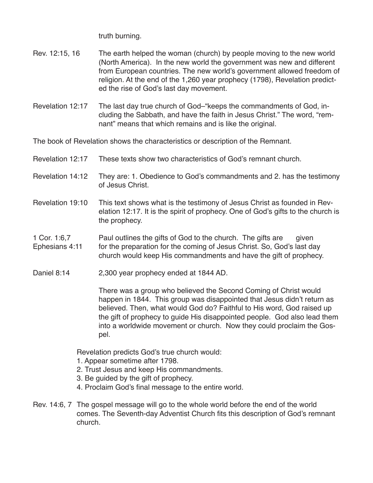truth burning.

- Rev. 12:15, 16 The earth helped the woman (church) by people moving to the new world (North America). In the new world the government was new and different from European countries. The new world's government allowed freedom of religion. At the end of the 1,260 year prophecy (1798), Revelation predicted the rise of God's last day movement.
- Revelation 12:17 The last day true church of God–"keeps the commandments of God, including the Sabbath, and have the faith in Jesus Christ." The word, "remnant" means that which remains and is like the original.

The book of Revelation shows the characteristics or description of the Remnant.

- Revelation 12:17 These texts show two characteristics of God's remnant church.
- Revelation 14:12 They are: 1. Obedience to God's commandments and 2. has the testimony of Jesus Christ.
- Revelation 19:10 This text shows what is the testimony of Jesus Christ as founded in Revelation 12:17. It is the spirit of prophecy. One of God's gifts to the church is the prophecy.
- 1 Cor. 1:6,7 Paul outlines the gifts of God to the church. The gifts are given Ephesians 4:11 for the preparation for the coming of Jesus Christ. So, God's last day church would keep His commandments and have the gift of prophecy.
- Daniel 8:14 2,300 year prophecy ended at 1844 AD.

There was a group who believed the Second Coming of Christ would happen in 1844. This group was disappointed that Jesus didn't return as believed. Then, what would God do? Faithful to His word, God raised up the gift of prophecy to guide His disappointed people. God also lead them into a worldwide movement or church. Now they could proclaim the Gospel.

Revelation predicts God's true church would:

- 1. Appear sometime after 1798.
- 2. Trust Jesus and keep His commandments.
- 3. Be guided by the gift of prophecy.
- 4. Proclaim God's final message to the entire world.
- Rev. 14:6, 7 The gospel message will go to the whole world before the end of the world comes. The Seventh-day Adventist Church fits this description of God's remnant church.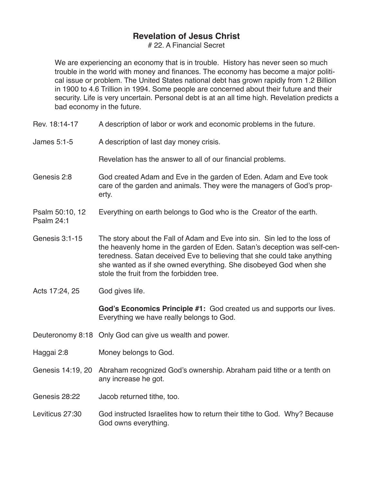# 22. A Financial Secret

We are experiencing an economy that is in trouble. History has never seen so much trouble in the world with money and finances. The economy has become a major political issue or problem. The United States national debt has grown rapidly from 1.2 Billion in 1900 to 4.6 Trillion in 1994. Some people are concerned about their future and their security. Life is very uncertain. Personal debt is at an all time high. Revelation predicts a bad economy in the future.

- Rev. 18:14-17 A description of labor or work and economic problems in the future.
- James 5:1-5 A description of last day money crisis.

Revelation has the answer to all of our financial problems.

- Genesis 2:8 God created Adam and Eve in the garden of Eden. Adam and Eve took care of the garden and animals. They were the managers of God's property.
- Psalm 50:10, 12 Everything on earth belongs to God who is the Creator of the earth.
- Genesis 3:1-15 The story about the Fall of Adam and Eve into sin. Sin led to the loss of the heavenly home in the garden of Eden. Satan's deception was self-centeredness. Satan deceived Eve to believing that she could take anything she wanted as if she owned everything. She disobeyed God when she stole the fruit from the forbidden tree.
- Acts 17:24, 25 God gives life.

Psalm 24:1

**God's Economics Principle #1:** God created us and supports our lives. Everything we have really belongs to God.

- Deuteronomy 8:18 Only God can give us wealth and power.
- Haggai 2:8 Money belongs to God.
- Genesis 14:19, 20 Abraham recognized God's ownership. Abraham paid tithe or a tenth on any increase he got.
- Genesis 28:22 Jacob returned tithe, too.
- Leviticus 27:30 God instructed Israelites how to return their tithe to God. Why? Because God owns everything.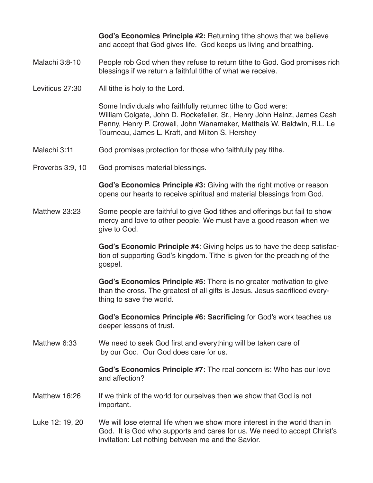**God's Economics Principle #2:** Returning tithe shows that we believe and accept that God gives life. God keeps us living and breathing.

#### Malachi 3:8-10 People rob God when they refuse to return tithe to God. God promises rich blessings if we return a faithful tithe of what we receive.

Leviticus 27:30 All tithe is holy to the Lord.

Some Individuals who faithfully returned tithe to God were: William Colgate, John D. Rockefeller, Sr., Henry John Heinz, James Cash Penny, Henry P. Crowell, John Wanamaker, Matthais W. Baldwin, R.L. Le Tourneau, James L. Kraft, and Milton S. Hershey

- Malachi 3:11 God promises protection for those who faithfully pay tithe.
- Proverbs 3:9, 10 God promises material blessings.

**God's Economics Principle #3:** Giving with the right motive or reason opens our hearts to receive spiritual and material blessings from God.

Matthew 23:23 Some people are faithful to give God tithes and offerings but fail to show mercy and love to other people. We must have a good reason when we give to God.

> **God's Economic Principle #4**: Giving helps us to have the deep satisfaction of supporting God's kingdom. Tithe is given for the preaching of the gospel.

**God's Economics Principle #5:** There is no greater motivation to give than the cross. The greatest of all gifts is Jesus. Jesus sacrificed everything to save the world.

**God's Economics Principle #6: Sacrificing** for God's work teaches us deeper lessons of trust.

Matthew 6:33 We need to seek God first and everything will be taken care of by our God. Our God does care for us.

> **God's Economics Principle #7:** The real concern is: Who has our love and affection?

- Matthew 16:26 If we think of the world for ourselves then we show that God is not important.
- Luke 12: 19, 20 We will lose eternal life when we show more interest in the world than in God. It is God who supports and cares for us. We need to accept Christ's invitation: Let nothing between me and the Savior.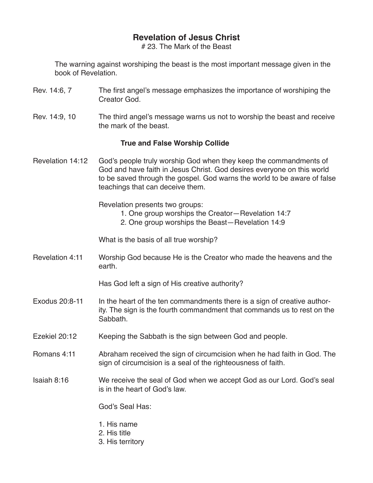# 23. The Mark of the Beast

The warning against worshiping the beast is the most important message given in the book of Revelation.

- Rev. 14:6, 7 The first angel's message emphasizes the importance of worshiping the Creator God.
- Rev. 14:9, 10 The third angel's message warns us not to worship the beast and receive the mark of the beast.

#### **True and False Worship Collide**

Revelation 14:12 God's people truly worship God when they keep the commandments of God and have faith in Jesus Christ. God desires everyone on this world to be saved through the gospel. God warns the world to be aware of false teachings that can deceive them.

Revelation presents two groups:

- 1. One group worships the Creator—Revelation 14:7
- 2. One group worships the Beast—Revelation 14:9

What is the basis of all true worship?

Revelation 4:11 Worship God because He is the Creator who made the heavens and the earth.

Has God left a sign of His creative authority?

- Exodus 20:8-11 In the heart of the ten commandments there is a sign of creative authority. The sign is the fourth commandment that commands us to rest on the Sabbath.
- Ezekiel 20:12 Keeping the Sabbath is the sign between God and people.
- Romans 4:11 Abraham received the sign of circumcision when he had faith in God. The sign of circumcision is a seal of the righteousness of faith.

#### Isaiah 8:16 We receive the seal of God when we accept God as our Lord. God's seal is in the heart of God's law.

God's Seal Has:

- 1. His name
- 2. His title
- 3. His territory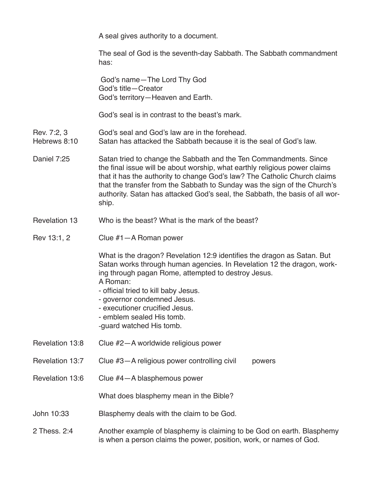A seal gives authority to a document.

The seal of God is the seventh-day Sabbath. The Sabbath commandment has:

 God's name—The Lord Thy God God's title—Creator God's territory—Heaven and Earth.

God's seal is in contrast to the beast's mark.

## Rev. 7:2, 3 God's seal and God's law are in the forehead.<br>Hebrews 8:10 Satan has attacked the Sabbath because it is

- Satan has attacked the Sabbath because it is the seal of God's law.
- Daniel 7:25 Satan tried to change the Sabbath and the Ten Commandments. Since the final issue will be about worship, what earthly religious power claims that it has the authority to change God's law? The Catholic Church claims that the transfer from the Sabbath to Sunday was the sign of the Church's authority. Satan has attacked God's seal, the Sabbath, the basis of all worship.

#### Revelation 13 Who is the beast? What is the mark of the beast?

#### Rev 13:1, 2 Clue #1—A Roman power

What is the dragon? Revelation 12:9 identifies the dragon as Satan. But Satan works through human agencies. In Revelation 12 the dragon, working through pagan Rome, attempted to destroy Jesus. A Roman:

- official tried to kill baby Jesus.
- governor condemned Jesus.
- executioner crucified Jesus.
- emblem sealed His tomb.
- ‑guard watched His tomb.
- Revelation 13:8 Clue #2—A worldwide religious power
- Revelation 13:7 Clue #3-A religious power controlling civil powers
- Revelation 13:6 Clue #4—A blasphemous power

What does blasphemy mean in the Bible?

- John 10:33 Blasphemy deals with the claim to be God.
- 2 Thess. 2:4 Another example of blasphemy is claiming to be God on earth. Blasphemy is when a person claims the power, position, work, or names of God.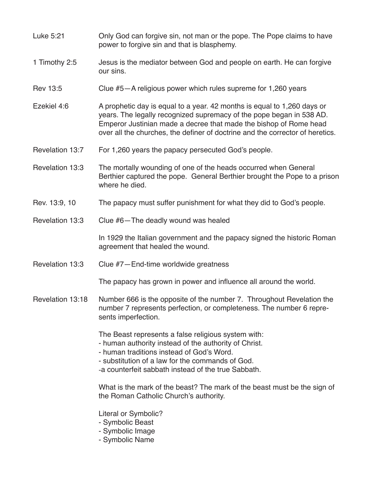- Luke 5:21 Only God can forgive sin, not man or the pope. The Pope claims to have power to forgive sin and that is blasphemy.
- 1 Timothy 2:5 Jesus is the mediator between God and people on earth. He can forgive our sins.
- Rev 13:5 Clue #5—A religious power which rules supreme for 1,260 years
- Ezekiel 4:6 A prophetic day is equal to a year. 42 months is equal to 1,260 days or years. The legally recognized supremacy of the pope began in 538 AD. Emperor Justinian made a decree that made the bishop of Rome head over all the churches, the definer of doctrine and the corrector of heretics.
- Revelation 13:7 For 1,260 years the papacy persecuted God's people.
- Revelation 13:3 The mortally wounding of one of the heads occurred when General Berthier captured the pope. General Berthier brought the Pope to a prison where he died.
- Rev. 13:9, 10 The papacy must suffer punishment for what they did to God's people.
- Revelation 13:3 Clue #6—The deadly wound was healed

In 1929 the Italian government and the papacy signed the historic Roman agreement that healed the wound.

Revelation 13:3 Clue #7—End-time worldwide greatness

The papacy has grown in power and influence all around the world.

Revelation 13:18 Number 666 is the opposite of the number 7. Throughout Revelation the number 7 represents perfection, or completeness. The number 6 represents imperfection.

The Beast represents a false religious system with:

- human authority instead of the authority of Christ.
- human traditions instead of God's Word.
- substitution of a law for the commands of God.
- ‑a counterfeit sabbath instead of the true Sabbath.

What is the mark of the beast? The mark of the beast must be the sign of the Roman Catholic Church's authority.

Literal or Symbolic?

- Symbolic Beast
- Symbolic Image
- Symbolic Name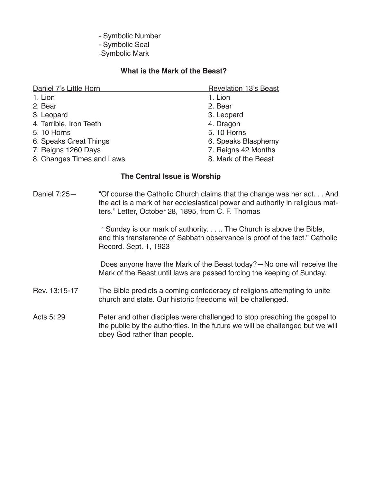- Symbolic Number

- Symbolic Seal
- ‑Symbolic Mark

#### **What is the Mark of the Beast?**

| Daniel 7's Little Horn    | <b>Revelation 13's Beast</b> |
|---------------------------|------------------------------|
| 1. Lion                   | 1. Lion                      |
| 2. Bear                   | 2. Bear                      |
| 3. Leopard                | 3. Leopard                   |
| 4. Terrible, Iron Teeth   | 4. Dragon                    |
| 5.10 Horns                | 5.10 Horns                   |
| 6. Speaks Great Things    | 6. Speaks Blasphemy          |
| 7. Reigns 1260 Days       | 7. Reigns 42 Months          |
| 8. Changes Times and Laws | 8. Mark of the Beast         |

#### **The Central Issue is Worship**

Daniel 7:25— "Of course the Catholic Church claims that the change was her act. . . And the act is a mark of her ecclesiastical power and authority in religious matters." Letter, October 28, 1895, from C. F. Thomas

> " Sunday is our mark of authority. . . .. The Church is above the Bible, and this transference of Sabbath observance is proof of the fact." Catholic Record. Sept. 1, 1923

> Does anyone have the Mark of the Beast today?—No one will receive the Mark of the Beast until laws are passed forcing the keeping of Sunday.

- Rev. 13:15-17 The Bible predicts a coming confederacy of religions attempting to unite church and state. Our historic freedoms will be challenged.
- Acts 5: 29 **Peter and other disciples were challenged to stop preaching the gospel to** the public by the authorities. In the future we will be challenged but we will obey God rather than people.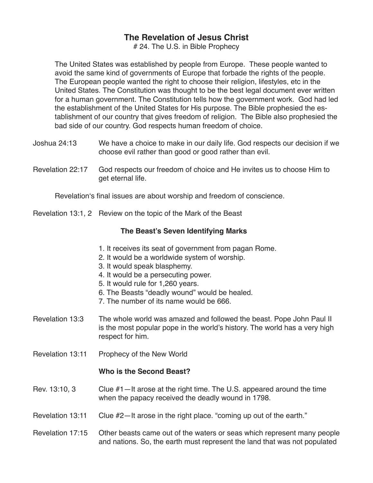# 24. The U.S. in Bible Prophecy

The United States was established by people from Europe. These people wanted to avoid the same kind of governments of Europe that forbade the rights of the people. The European people wanted the right to choose their religion, lifestyles, etc in the United States. The Constitution was thought to be the best legal document ever written for a human government. The Constitution tells how the government work. God had led the establishment of the United States for His purpose. The Bible prophesied the establishment of our country that gives freedom of religion. The Bible also prophesied the bad side of our country. God respects human freedom of choice.

- Joshua 24:13 We have a choice to make in our daily life. God respects our decision if we choose evil rather than good or good rather than evil.
- Revelation 22:17 God respects our freedom of choice and He invites us to choose Him to get eternal life.

Revelation's final issues are about worship and freedom of conscience.

Revelation 13:1, 2 Review on the topic of the Mark of the Beast

## **The Beast's Seven Identifying Marks**

- 1. It receives its seat of government from pagan Rome.
- 2. It would be a worldwide system of worship.
- 3. It would speak blasphemy.
- 4. It would be a persecuting power.
- 5. It would rule for 1,260 years.
- 6. The Beasts "deadly wound" would be healed.
- 7. The number of its name would be 666.
- Revelation 13:3 The whole world was amazed and followed the beast. Pope John Paul II is the most popular pope in the world's history. The world has a very high respect for him.
- Revelation 13:11 Prophecy of the New World

#### **Who is the Second Beast?**

- Rev. 13:10, 3 Clue #1—It arose at the right time. The U.S. appeared around the time when the papacy received the deadly wound in 1798.
- Revelation 13:11 Clue #2—It arose in the right place. "coming up out of the earth."
- Revelation 17:15 Other beasts came out of the waters or seas which represent many people and nations. So, the earth must represent the land that was not populated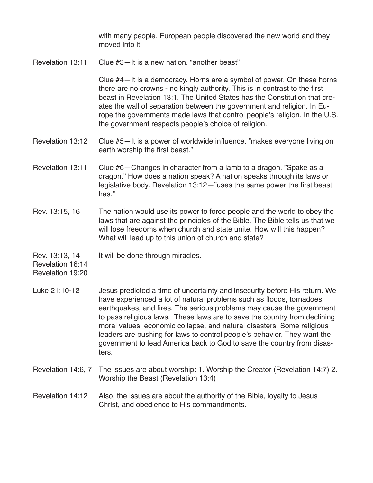with many people. European people discovered the new world and they moved into it.

Revelation 13:11 Clue #3—It is a new nation. "another beast"

Clue #4—It is a democracy. Horns are a symbol of power. On these horns there are no crowns - no kingly authority. This is in contrast to the first beast in Revelation 13:1. The United States has the Constitution that creates the wall of separation between the government and religion. In Europe the governments made laws that control people's religion. In the U.S. the government respects people's choice of religion.

- Revelation 13:12 Clue #5-It is a power of worldwide influence. "makes everyone living on earth worship the first beast."
- Revelation 13:11 Clue #6—Changes in character from a lamb to a dragon. "Spake as a dragon." How does a nation speak? A nation speaks through its laws or legislative body. Revelation 13:12—"uses the same power the first beast has."
- Rev. 13:15, 16 The nation would use its power to force people and the world to obey the laws that are against the principles of the Bible. The Bible tells us that we will lose freedoms when church and state unite. How will this happen? What will lead up to this union of church and state?
- Rev. 13:13, 14 It will be done through miracles.

Revelation 16:14

Revelation 19:20

- Luke 21:10-12 Jesus predicted a time of uncertainty and insecurity before His return. We have experienced a lot of natural problems such as floods, tornadoes, earthquakes, and fires. The serious problems may cause the government to pass religious laws. These laws are to save the country from declining moral values, economic collapse, and natural disasters. Some religious leaders are pushing for laws to control people's behavior. They want the government to lead America back to God to save the country from disasters.
- Revelation 14:6, 7 The issues are about worship: 1. Worship the Creator (Revelation 14:7) 2. Worship the Beast (Revelation 13:4)

## Revelation 14:12 Also, the issues are about the authority of the Bible, loyalty to Jesus Christ, and obedience to His commandments.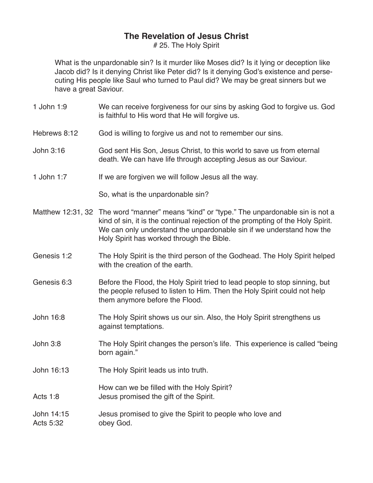# 25. The Holy Spirit

What is the unpardonable sin? Is it murder like Moses did? Is it lying or deception like Jacob did? Is it denying Christ like Peter did? Is it denying God's existence and persecuting His people like Saul who turned to Paul did? We may be great sinners but we have a great Saviour.

- 1 John 1:9 We can receive forgiveness for our sins by asking God to forgive us. God is faithful to His word that He will forgive us.
- Hebrews 8:12 God is willing to forgive us and not to remember our sins.
- John 3:16 God sent His Son, Jesus Christ, to this world to save us from eternal death. We can have life through accepting Jesus as our Saviour.
- 1 John 1:7 If we are forgiven we will follow Jesus all the way.

So, what is the unpardonable sin?

- Matthew 12:31, 32 The word "manner" means "kind" or "type." The unpardonable sin is not a kind of sin, it is the continual rejection of the prompting of the Holy Spirit. We can only understand the unpardonable sin if we understand how the Holy Spirit has worked through the Bible.
- Genesis 1:2 The Holy Spirit is the third person of the Godhead. The Holy Spirit helped with the creation of the earth.
- Genesis 6:3 Before the Flood, the Holy Spirit tried to lead people to stop sinning, but the people refused to listen to Him. Then the Holy Spirit could not help them anymore before the Flood.
- John 16:8 The Holy Spirit shows us our sin. Also, the Holy Spirit strengthens us against temptations.
- John 3:8 The Holy Spirit changes the person's life. This experience is called "being born again."
- John 16:13 The Holy Spirit leads us into truth.

How can we be filled with the Holy Spirit? Acts 1:8 Jesus promised the gift of the Spirit.

- 
- John 14:15 **Jesus promised to give the Spirit to people who love and** Acts 5:32 obey God.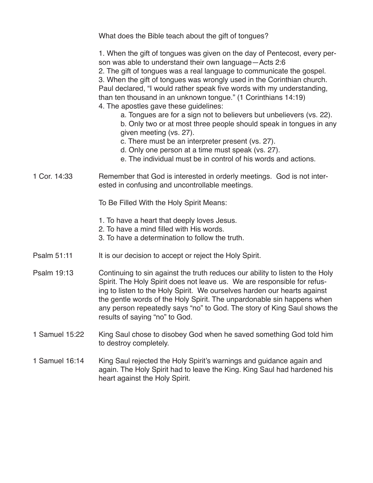|                | What does the Bible teach about the gift of tongues?                                                                                                                                                                                                                                                                                                                                                                                                                                                                                                                                                                                                                                                                                                                                                                              |
|----------------|-----------------------------------------------------------------------------------------------------------------------------------------------------------------------------------------------------------------------------------------------------------------------------------------------------------------------------------------------------------------------------------------------------------------------------------------------------------------------------------------------------------------------------------------------------------------------------------------------------------------------------------------------------------------------------------------------------------------------------------------------------------------------------------------------------------------------------------|
|                | 1. When the gift of tongues was given on the day of Pentecost, every per-<br>son was able to understand their own language-Acts 2:6<br>2. The gift of tongues was a real language to communicate the gospel.<br>3. When the gift of tongues was wrongly used in the Corinthian church.<br>Paul declared, "I would rather speak five words with my understanding,<br>than ten thousand in an unknown tongue." (1 Corinthians 14:19)<br>4. The apostles gave these guidelines:<br>a. Tongues are for a sign not to believers but unbelievers (vs. 22).<br>b. Only two or at most three people should speak in tongues in any<br>given meeting (vs. 27).<br>c. There must be an interpreter present (vs. 27).<br>d. Only one person at a time must speak (vs. 27).<br>e. The individual must be in control of his words and actions. |
| 1 Cor. 14:33   | Remember that God is interested in orderly meetings. God is not inter-<br>ested in confusing and uncontrollable meetings.                                                                                                                                                                                                                                                                                                                                                                                                                                                                                                                                                                                                                                                                                                         |
|                | To Be Filled With the Holy Spirit Means:                                                                                                                                                                                                                                                                                                                                                                                                                                                                                                                                                                                                                                                                                                                                                                                          |
|                | 1. To have a heart that deeply loves Jesus.<br>2. To have a mind filled with His words.<br>3. To have a determination to follow the truth.                                                                                                                                                                                                                                                                                                                                                                                                                                                                                                                                                                                                                                                                                        |
| Psalm 51:11    | It is our decision to accept or reject the Holy Spirit.                                                                                                                                                                                                                                                                                                                                                                                                                                                                                                                                                                                                                                                                                                                                                                           |
| Psalm 19:13    | Continuing to sin against the truth reduces our ability to listen to the Holy<br>Spirit. The Holy Spirit does not leave us. We are responsible for refus-<br>ing to listen to the Holy Spirit. We ourselves harden our hearts against<br>the gentle words of the Holy Spirit. The unpardonable sin happens when<br>any person repeatedly says "no" to God. The story of King Saul shows the<br>results of saying "no" to God.                                                                                                                                                                                                                                                                                                                                                                                                     |
| 1 Samuel 15:22 | King Saul chose to disobey God when he saved something God told him<br>to destroy completely.                                                                                                                                                                                                                                                                                                                                                                                                                                                                                                                                                                                                                                                                                                                                     |
| 1 Samuel 16:14 | King Saul rejected the Holy Spirit's warnings and guidance again and<br>again. The Holy Spirit had to leave the King. King Saul had hardened his<br>heart against the Holy Spirit.                                                                                                                                                                                                                                                                                                                                                                                                                                                                                                                                                                                                                                                |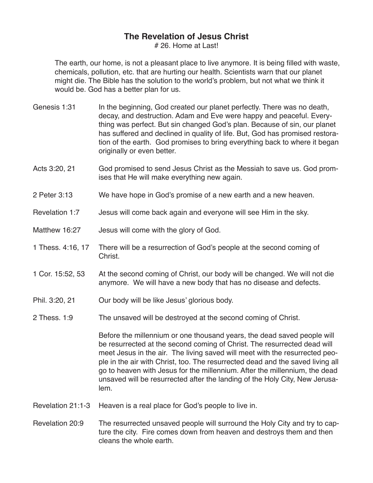# 26. Home at Last!

The earth, our home, is not a pleasant place to live anymore. It is being filled with waste, chemicals, pollution, etc. that are hurting our health. Scientists warn that our planet might die. The Bible has the solution to the world's problem, but not what we think it would be. God has a better plan for us.

- Genesis 1:31 In the beginning, God created our planet perfectly. There was no death, decay, and destruction. Adam and Eve were happy and peaceful. Everything was perfect. But sin changed God's plan. Because of sin, our planet has suffered and declined in quality of life. But, God has promised restoration of the earth. God promises to bring everything back to where it began originally or even better.
- Acts 3:20, 21 God promised to send Jesus Christ as the Messiah to save us. God promises that He will make everything new again.
- 2 Peter 3:13 We have hope in God's promise of a new earth and a new heaven.
- Revelation 1:7 Jesus will come back again and everyone will see Him in the sky.
- Matthew 16:27 Jesus will come with the glory of God.
- 1 Thess. 4:16, 17 There will be a resurrection of God's people at the second coming of Christ.
- 1 Cor. 15:52, 53 At the second coming of Christ, our body will be changed. We will not die anymore. We will have a new body that has no disease and defects.
- Phil. 3:20, 21 Our body will be like Jesus' glorious body.
- 2 Thess. 1:9 The unsaved will be destroyed at the second coming of Christ.

 Before the millennium or one thousand years, the dead saved people will be resurrected at the second coming of Christ. The resurrected dead will meet Jesus in the air. The living saved will meet with the resurrected people in the air with Christ, too. The resurrected dead and the saved living all go to heaven with Jesus for the millennium. After the millennium, the dead unsaved will be resurrected after the landing of the Holy City, New Jerusalem.

- Revelation 21:1-3 Heaven is a real place for God's people to live in.
- Revelation 20:9 The resurrected unsaved people will surround the Holy City and try to capture the city. Fire comes down from heaven and destroys them and then cleans the whole earth.